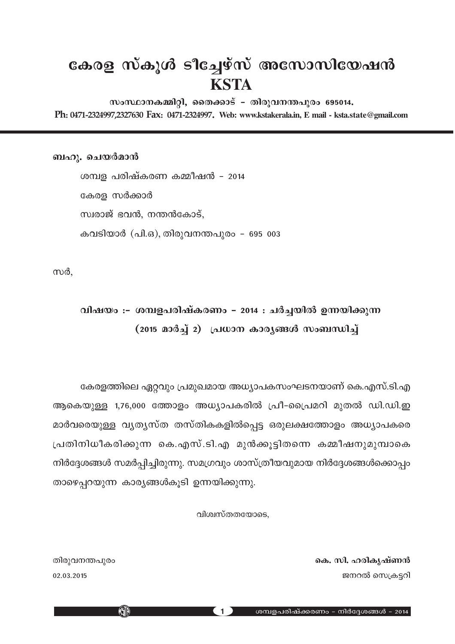## **കേരള സ്കൂൾ ടീച്ചേഴ്സ് അസോസിയേഷൻ KSTA**

സംസ്ഥാനകമ്മിറ്റി, തൈക്കാട് - തിരുവനന്തപുരം 695014. Ph**:** 0471-2324997,2327630**-** Fax**:** 0471-2324997**. Web: www.kstakerala.in, E mail - ksta.state@gmail.com**

ബഹു. ചെയർമാൻ

ശമ്പള പരിഷ്കരണ കമ്മീഷൻ – 2014 കേരള സർക്കാർ സ്വരാജ് ഭവൻ, നന്തൻകോട്, കവടിയാർ (പി.ഒ), തിരുവനന്തപുരം - 695 003

സർ,

## ്വിഷയം :– ശമ്പളപരിഷ്കരണം − 2014 : ചർച്ചയിൽ ഉന്നയിക്കുന്ന (2015 മാർച്ച് 2) പ്രധാന കാര്യങ്ങൾ സംബന്ധിച്ച്

കേരളത്തിലെ ഏറ്റവും പ്രമുഖമായ അധ്യാപകസംഘടനയാണ് കെ.എസ്.ടി.എ ആകെയുള്ള 1,76,000 ത്തോളം അധ്യാപകരിൽ പ്രീ-പ്രൈമറി മുതൽ ഡി.ഡി.ഇ മാർവരെയുള്ള വൃതൃസ്ത തസ്തികകളിൽപ്പെട്ട ഒരുലക്ഷത്തോളം അധ്യാപകരെ ്രപതിനിധീകരിക്കുന്ന കെ.എസ്.ടി.എ മുൻക്കുട്ടിതന്നെ കമ്മീഷനുമുമ്പാകെ നിർദ്ദേശങ്ങൾ സമർപ്പിച്ചിരുന്നു. സമഗ്രവും ശാസ്ത്രീയവുമായ നിർദ്ദേശങ്ങൾക്കൊപ്പം താഴെപ്പറയുന്ന കാരൃങ്ങൾകൂടി ഉന്നയിക്കുന്നു.

വിശ്വസ്തതയോടെ,

തിരുവനന്തപുരം **kn. lcomponent participate in the set of the signal state in the signal state in the signal state of the signal state in the signal state in the signal state in the signal state in the signal state in the s**  $02.03.2015$  ജനറൽ സ്വെക്ടറി

KID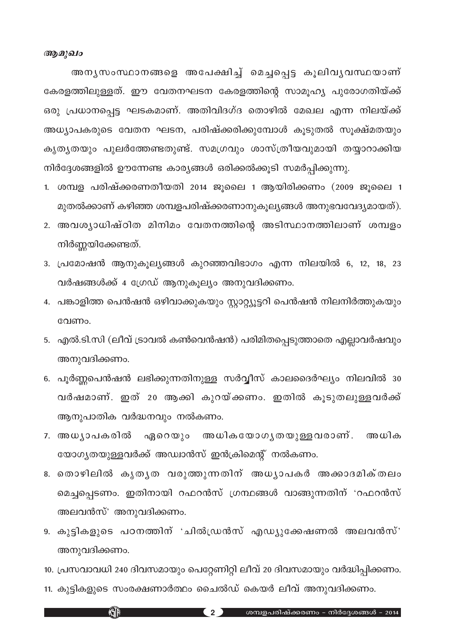## *ആമുഖം*

അനൃസംസ്ഥാനങ്ങളെ അപേക്ഷിച്ച് മെച്ചപ്പെട്ട കുലിവൃവസ്ഥയാണ് ഭകരളത്തിലുള്ളത്. ഈ വേതനഘടന കേരളത്തിന്റെ സാമൂഹ്യ പുരോഗതിയ്ക്ക് ഒരു പ്രധാനപ്പെട്ട ഘടകമാണ്. അതിവിദഗ്ദ തൊഴിൽ മേഖല എന്ന നിലയ്ക്ക് അധ്യാപകരുടെ വേതന ഘടന, പരിഷ്ക്കരിക്കുമ്പോൾ കൂടുതൽ സൂക്ഷ്മതയും കൃതൃതയും പുലർത്തേണ്ടതുണ്ട്. സമഗ്രവും ശാസ്ത്രീയവുമായി തയ്യാറാക്കിയ നിർദ്ദേശങ്ങളിൽ ഊന്നേണ്ട കാര്യങ്ങൾ ഒരിക്കൽക്കൂടി സമർപ്പിക്കുന്നു.

- 1. ശമ്പള പരിഷ്ക്കരണതീയതി 2014 ജൂലൈ 1 ആയിരിക്കണം (2009 ജൂലൈ 1 മുതൽക്കാണ് കഴിഞ്ഞ ശമ്പളപരിഷ്ക്കരണാനുകൂല്യങ്ങൾ അനുഭവവേദ്യമായത്).
- 2. അവശ്യാധിഷ്ഠിത മിനിമം വേതനത്തിന്റെ അടിസ്ഥാനത്തിലാണ് ശമ്പളം നിർണ്ണയിക്കേണ്ടത്.
- 3. പ്രമോഷൻ ആനുകൂല്യങ്ങൾ കുറഞ്ഞവിഭാഗം എന്ന നിലയിൽ 6, 12, 18, 23 വർഷങ്ങൾക്ക് 4 ഗ്രേഡ് ആനുകൂല്യം അനുവദിക്കണം.
- 4. പങ്കാളിത്ത പെൻഷൻ ഒഴിവാക്കുകയും സ്റ്റാറ്റ്യൂട്ടറി പെൻഷൻ നിലനിർത്തുകയും വേണം.
- 5. എൽ.ടി.സി (ലീവ് ട്രാവൽ കൺവെൻഷൻ) പരിമിതപ്പെടുത്താതെ എല്ലാവർഷവും അനുവദിക്കണം.
- 6. പൂർണ്ണപെൻഷൻ ലഭിക്കുന്നതിനുള്ള സർവ്വീസ് കാലദൈർഘ്യം നിലവിൽ 30 വർഷമാണ്. ഇത് 20 ആക്കി കുറയ്ക്കണം. ഇതിൽ കൂടുതലുള്ളവർക്ക് ആനുപാതിക വർദ്ധനവും നൽകണം.
- 7. അധൃാപകരിൽ ഏറെയും അധികയോഗൃതയുള്ളവരാണ്. അധിക യോഗ്യതയുള്ളവർക്ക് അഡ്വാൻസ് ഇൻക്രിമെന്റ് നൽകണം.
- 8. തൊഴിലിൽ കൃതൃത വരുത്തുന്നതിന് അധൃാപകർ അക്കാദമിക്തലം മെച്ചപ്പെടണം. ഇതിനായി റഫറൻസ് ഗ്രന്ഥങ്ങൾ വാങ്ങുന്നതിന് 'റഫറൻസ് അലവൻസ്' അനുവദിക്കണം.
- 9. കുട്ടികളുടെ പഠനത്തിന് 'ചിൽന്ധ്രൻസ് എഡ്യുക്കേഷണൽ അലവൻസ്' അനുവദിക്കണം.
- 10. പ്രസവാവധി 240 ദിവസമായും പെറ്റേണിറ്റി ലീവ് 20 ദിവസമായും വർദ്ധിപ്പിക്കണം.
- 11. കുട്ടികളുടെ സംരക്ഷണാർത്ഥം ചൈൽഡ് കെയർ ലീവ് അനുവദിക്കണം.

**KJP**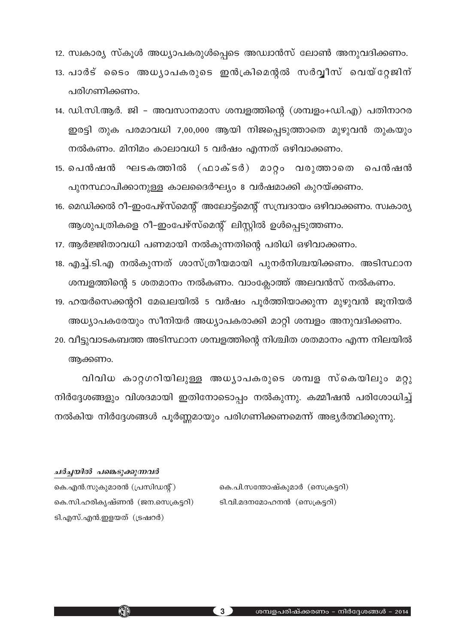12. സ്വകാര്യ സ്കൂൾ അധ്യാപകരുൾപ്പെടെ അഡ്വാൻസ് ലോൺ അനുവദിക്കണം.

- 13. പാർട് ടൈം അധ്യാപകരുടെ ഇൻക്രിമെന്റൽ സർവ്വീസ് വെയ്റ്റേജിന് പരിഗണിക്കണം.
- 14. ഡി.സി.ആർ. ജി അവസാനമാസ ശമ്പളത്തിന്റെ (ശമ്പളം+ഡി.എ) പതിനാറര ഇരട്ടി തുക പരമാവധി 7,00,000 ആയി നിജപ്പെടുത്താതെ മുഴുവൻ തുകയും നൽകണം. മിനിമം കാലാവധി 5 വർഷം എന്നത് ഒഴിവാക്കണം.
- 15. പെൻഷൻ ഘടകത്തിൽ (ഫാക്ടർ) മാറ്റം വരുത്താതെ പെൻഷൻ പുനസ്ഥാപിക്കാനുള്ള കാലദൈർഘ്യം 8 വർഷമാക്കി കുറയ്ക്കണം.
- 16. മെഡിക്കൽ റീ-ഇംപേഴ്സ്മെന്റ് അലോട്ട്മെന്റ് സമ്പ്രദായം ഒഴിവാക്കണം. സ്വകാര്യ ആശുപത്രികളെ റീ-ഇംപേഴ്സ്മെന്റ് ലിസ്റ്റിൽ ഉൾപ്പെടുത്തണം.
- 17. ആർജ്ജിതാവധി പണമായി നൽകുന്നതിന്റെ പരിധി ഒഴിവാക്കണം.
- 18. എച്ച്.ടി.എ നൽകുന്നത് ശാസ്ത്രീയമായി പുനർനിശ്ചയിക്കണം. അടിസ്ഥാന ശമ്പളത്തിന്റെ 5 ശതമാനം നൽകണം. വാംക്ലോത്ത് അലവൻസ് നൽകണം.
- 19. ഹയർസെക്കന്ററി മേഖലയിൽ 5 വർഷം പൂർത്തിയാക്കുന്ന മുഴുവൻ ജൂനിയർ അധ്യാപകരേയും സീനിയർ അധ്യാപകരാക്കി മാറ്റി ശമ്പളം അനുവദിക്കണം.
- 20. വീട്ടുവാടകബത്ത അടിസ്ഥാന ശമ്പളത്തിന്റെ നിശ്ചിത ശതമാനം എന്ന നിലയിൽ ആക്കണം.

വിവിധ കാറ്റഗറിയിലുള്ള അധ്യാപകരുടെ ശമ്പള സ്കെയിലും മറ്റു നിർദ്ദേശങ്ങളും വിശദമായി ഇതിനോടൊപ്പം നൽകുന്നു. കമ്മീഷൻ പരിശോധിച്ച് നൽകിയ നിർദ്ദേശങ്ങൾ പൂർണ്ണമായും പരിഗണിക്കണമെന്ന് അഭ്യർത്ഥിക്കുന്നു.

#### ചർച്ചയിൽ പങ്കെടുക്കുന്നവർ

കെ.പി.സന്തോഷ്കുമാർ (സെക്രട്ടറി) ടി.വി.മദനമോഹനൻ (സെക്രട്ടറി)

കെ.എൻ.സുകുമാരൻ (പ്രസിഡന്റ്) കെ.സി.ഹരികൃഷ്ണൻ (ജന.സെക്രട്ടറി) ടി.എസ്.എൻ.ഇളയത് (ട്രഷറർ)

**KATA** 

3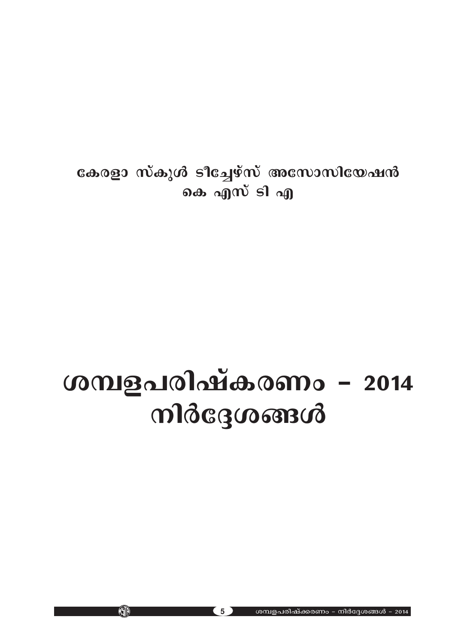കേരളാ സ്കുൾ ടീച്ചേഴ്സ് അസോസിയേഷൻ കെ എസ് ടി എ

# ശമ്പളപരിഷ്കരണം - 2014 mldcgcooncid

ശമ്പളപരിഷ്ക്കരണം - നിർദ്ദേശങ്ങൾ - 2014

5

KID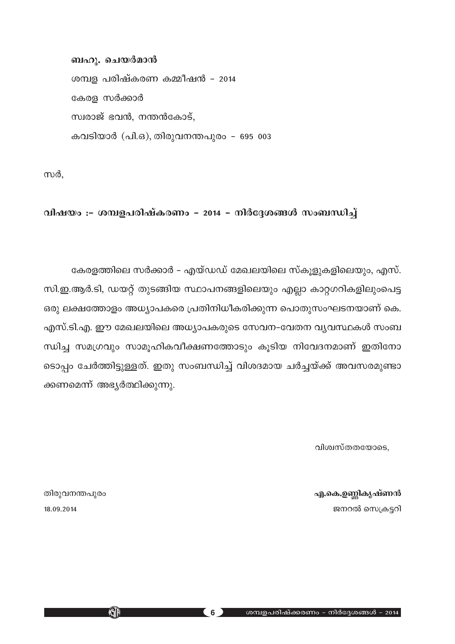ബഹു. ചെയർമാൻ

ശമ്പള പരിഷ്കരണ കമ്മീഷൻ - 2014 കേരള സർക്കാർ സ്വരാജ് ഭവൻ, നന്തൻകോട്, കവടിയാർ (പി.ഒ), തിരുവനന്തപുരം - 695 003

സർ,

വിഷയം :- ശമ്പളപരിഷ്കരണം - 2014 - നിർദ്ദേശങ്ങൾ സംബന്ധിച്ച്

കേരളത്തിലെ സർക്കാർ – എയ്ഡഡ് മേഖലയിലെ സ്കുളുകളിലെയും, എസ്.

സി.ഇ.ആർ.ടി, ഡയറ്റ് തുടങ്ങിയ സ്ഥാപനങ്ങളിലെയും എല്ലാ കാറ്റഗറികളിലുംപെട്ട ഒരു ലക്ഷത്തോളം അധ്യാപകരെ പ്രതിനിധീകരിക്കുന്ന പൊതുസംഘടനയാണ് കെ. എസ്.ടി.എ. ഈ മേഖലയിലെ അധ്യാപകരുടെ സേവന–വേതന വ്യവസ്ഥകൾ സംബ ന്ധിച്ച സമഗ്രവും സാമുഹികവീക്ഷണത്തോടും കൂടിയ നിവേദനമാണ് ഇതിനോ ടൊപ്പം ചേർത്തിട്ടുള്ളത്. ഇതു സംബന്ധിച്ച് വിശദമായ ചർച്ചയ്ക്ക് അവസരമുണ്ടാ ക്കണമെന്ന് അഭ്യർത്ഥിക്കുന്നു.

വിശ്വസ്തതയോടെ,

എ.കെ.ഉണ്ണികൃഷ്ണൻ ജനറൽ സെക്രട്ടറി

തിരുവനന്തപുരം 18.09.2014

KJD

 $(6)$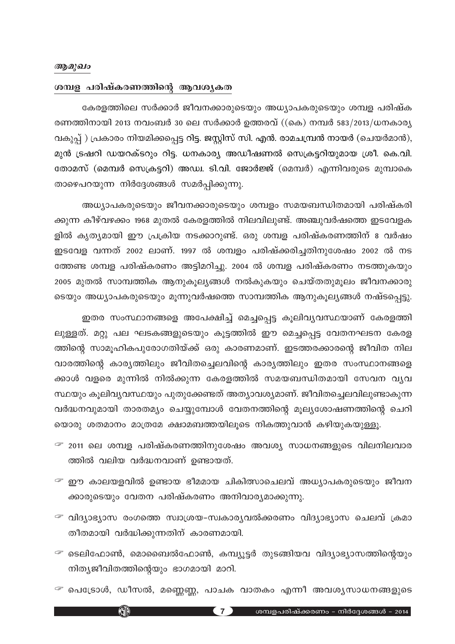#### *ആമുഖം*

#### ശമ്പള പരിഷ്കരണത്തിന്റെ ആവശൃകത

കേരളത്തിലെ സർക്കാർ ജീവനക്കാരുടെയും അധ്യാപകരുടെയും ശമ്പള പരിഷ്ക രണത്തിനായി 2013 നവംബർ 30 ലെ സർക്കാർ ഉത്തരവ് ((കെ) നമ്പർ 583/2013/ധനകാര്യ വകുപ്പ്) പ്രകാരം നിയമിക്കപ്പെട്ട റിട്ട. ജസ്റ്റിസ് സി. എൻ. രാമചമ്പ്രൻ നായർ (ചെയർമാൻ), മുൻ ട്രഷറി ഡയറക്ടറും റിട്ട. ധനകാര്യ അഡീഷണൽ സെക്രട്ടറിയുമായ ശ്രീ. കെ.വി. തോമസ് (മെമ്പർ സെക്രട്ടറി) അഡ്വ. ടി.വി. ജോർജ്ജ് (മെമ്പർ) എന്നിവരുടെ മുമ്പാകെ താഴെപറയുന്ന നിർദ്ദേശങ്ങൾ സമർപ്പിക്കുന്നു.

അധ്യാപകരുടെയും ജീവനക്കാരുടെയും ശമ്പളം സമയബന്ധിതമായി പരിഷ്കരി ക്കുന്ന കീഴ്വഴക്കം 1968 മുതൽ കേരളത്തിൽ നിലവിലുണ്ട്. അഞ്ചുവർഷത്തെ ഇടവേളക ളിൽ കൃത്യമായി ഈ പ്രക്രിയ നടക്കാറുണ്ട്. ഒരു ശമ്പള പരിഷ്കരണത്തിന് 8 വർഷം ഇടവേള വന്നത് 2002 ലാണ്. 1997 ൽ ശമ്പളം പരിഷ്ക്കരിച്ചതിനുശേഷം 2002 ൽ നട ത്തേണ്ട ശമ്പള പരിഷ്കരണം അട്ടിമറിച്ചു. 2004 ൽ ശമ്പള പരിഷ്കരണം നടത്തുകയും 2005 മുതൽ സാമ്പത്തിക ആനുകൂല്യങ്ങൾ നൽകുകയും ചെയ്തതുമൂലം ജീവനക്കാരു ടെയും അധ്യാപകരുടെയും മുന്നുവർഷത്തെ സാമ്പത്തിക ആനുകൂല്യങ്ങൾ നഷ്ടപ്പെട്ടു.

ഇതര സംസ്ഥാനങ്ങളെ അപേക്ഷിച്ച് മെച്ചപ്പെട്ട കൂലിവ്യവസ്ഥയാണ് കേരളത്തി ലുള്ളത്. മറ്റു പല ഘടകങ്ങളുടെയും കൂട്ടത്തിൽ ഈ മെച്ചപ്പെട്ട വേതനഘടന കേരള ത്തിന്റെ സാമൂഹികപുരോഗതിയ്ക്ക് ഒരു കാരണമാണ്. ഇടത്തരക്കാരന്റെ ജീവിത നില വാരത്തിന്റെ കാര്യത്തിലും ജീവിതച്ചെലവിന്റെ കാര്യത്തിലും ഇതര സംസ്ഥാനങ്ങളെ ക്കാൾ വളരെ മുന്നിൽ നിൽക്കുന്ന കേരളത്തിൽ സമയബന്ധിതമായി സേവന വ്യവ സ്ഥയും കൂലിവ്യവസ്ഥയും പുതുക്കേണ്ടത് അത്യാവശ്യമാണ്. ജീവിതച്ചെലവിലുണ്ടാകുന്ന വർദ്ധനവുമായി താരതമ്യം ചെയ്യുമ്പോൾ വേതനത്തിന്റെ മൂല്യശോഷണത്തിന്റെ ചെറി യൊരു ശതമാനം മാത്രമേ ക്ഷാമബത്തയിലൂടെ നികത്തുവാൻ കഴിയുകയുള്ളൂ.

- $\mathcal F$  2011 ലെ ശമ്പള പരിഷ്കരണത്തിനുശേഷം അവശ്യ സാധനങ്ങളുടെ വിലനിലവാര ത്തിൽ വലിയ വർദ്ധനവാണ് ഉണ്ടായത്.
- $\mathcal F$  ഈ കാലയളവിൽ ഉണ്ടായ ഭീമമായ ചികിത്സാചെലവ് അധ്യാപകരുടെയും ജീവന ക്കാരുടെയും വേതന പരിഷ്കരണം അനിവാര്യമാക്കുന്നു.
- $\mathcal F$  വിദ്യാഭ്യാസ രംഗത്തെ സ്വാശ്രയ-സ്വകാര്യവൽക്കരണം വിദ്യാഭ്യാസ ചെലവ് ക്രമാ തീതമായി വർദ്ധിക്കുന്നതിന് കാരണമായി.
- $\mathcal F$  ടെലിഫോൺ, മൊബൈൽഫോൺ, കമ്പ്യൂട്ടർ തുടങ്ങിയവ വിദ്യാഭ്യാസത്തിന്റെയും നിതൃജീവിതത്തിന്റെയും ഭാഗമായി മാറി.
- $\mathcal F$  പെട്രോൾ, ഡീസൽ, മണ്ണെണ്ണ, പാചക വാതകം എന്നീ അവശൃസാധനങ്ങളുടെ

**KATA**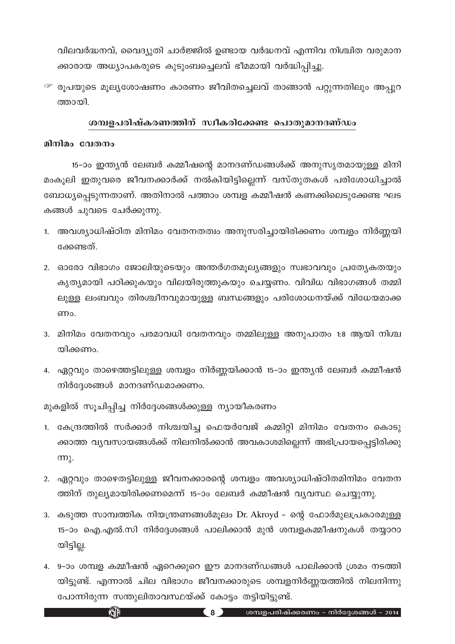വിലവർദ്ധനവ്, വൈദ്യുതി ചാർജ്ജിൽ ഉണ്ടായ വർദ്ധനവ് എന്നിവ നിശ്ചിത വരുമാന ക്കാരായ അധ്യാപകരുടെ കുടുംബച്ചെലവ് ഭീമമായി വർദ്ധിപ്പിച്ചു.

<sup>– ഒ</sup>രൂപയുടെ മൂല്യശോഷണം കാരണം ജീവിതച്ചെലവ് താങ്ങാൻ പറ്റുന്നതിലും അപ്പുറ ത്തായി.

## ശമ്പളപരിഷ്കരണത്തിന് സ്വീകരിക്കേണ്ട പൊതുമാനദണ്ഡം

#### മിനിമം വേതനം

15–ാം ഇന്ത്യൻ ലേബർ കമ്മീഷന്റെ മാനദണ്ഡങ്ങൾക്ക് അനുസ്യതമായുള്ള മിനി മംകൂലി ഇതുവരെ ജീവനക്കാർക്ക് നൽകിയിട്ടില്ലെന്ന് വസ്തുതകൾ പരിശോധിച്ചാൽ ബോധ്യപ്പെടുന്നതാണ്. അതിനാൽ പത്താം ശമ്പള കമ്മീഷൻ കണക്കിലെടുക്കേണ്ട ഘട കങ്ങൾ ചുവടെ ചേർക്കുന്നു.

- 1. അവശ്യാധിഷ്ഠിത മിനിമം വേതനതത്വം അനുസരിച്ചായിരിക്കണം ശമ്പളം നിർണ്ണയി ക്കേണ്ടത്.
- 2. ഓരോ വിഭാഗം ജോലിയുടെയും അന്തർഗതമൂല്യങ്ങളും സ്വഭാവവും പ്രത്യേകതയും കൃത്യമായി പഠിക്കുകയും വിലയിരുത്തുകയും ചെയ്യണം. വിവിധ വിഭാഗങ്ങൾ തമ്മി ലുള്ള ലംബവും തിരശ്ചീനവുമായുള്ള ബന്ധങ്ങളും പരിശോധനയ്ക്ക് വിധേയമാക്ക ണം.
- 3. മിനിമം വേതനവും പരമാവധി വേതനവും തമ്മിലുള്ള അനുപാതം 1:8 ആയി നിശ്ച യിക്കണം.
- 4. ഏറ്റവും താഴെത്തട്ടിലുള്ള ശമ്പളം നിർണ്ണയിക്കാൻ 15–ാം ഇന്ത്യൻ ലേബർ കമ്മീഷൻ നിർദ്ദേശങ്ങൾ മാനദണ്ഡമാക്കണം.

മുകളിൽ സൂചിപ്പിച്ച നിർദ്ദേശങ്ങൾക്കുള്ള ന്യായീകരണം

 $\mathbb{G}$ 

- 1. കേന്ദ്രത്തിൽ സർക്കാർ നിശ്ചയിച്ച ഫെയർവേജ് കമ്മിറ്റി മിനിമം വേതനം കൊടു ക്കാത്ത വ്യവസായങ്ങൾക്ക് നിലനിൽക്കാൻ അവകാശമില്ലെന്ന് അഭിപ്രായപ്പെട്ടിരിക്കു  $m<sub>\lambda</sub>$ .
- 2. ഏറ്റവും താഴെതട്ടിലുള്ള ജീവനക്കാരന്റെ ശമ്പളം അവശ്യാധിഷ്ഠിതമിനിമം വേതന ത്തിന് തുല്യമായിരിക്കണമെന്ന് 15–ാം ലേബർ കമ്മീഷൻ വ്യവസ്ഥ ചെയ്യുന്നു.
- 3. കടുത്ത സാമ്പത്തിക നിയന്ത്രണങ്ങൾമൂലം Dr. Akroyd ന്റെ ഫോർമൂലപ്രകാരമുള്ള 15-ാം ഐ.എൽ.സി നിർദ്ദേശങ്ങൾ പാലിക്കാൻ മുൻ ശമ്പളകമ്മീഷനുകൾ തയ്യാറാ യിട്ടില്ല.
- 4. 9-ാം ശമ്പള കമ്മീഷൻ ഏറെക്കുറെ ഈ മാനദണ്ഡങ്ങൾ പാലിക്കാൻ ശ്രമം നടത്തി യിട്ടുണ്ട്. എന്നാൽ ചില വിഭാഗം ജീവനക്കാരുടെ ശമ്പളനിർണ്ണയത്തിൽ നിലനിന്നു പോന്നിരുന്ന സന്തുലിതാവസ്ഥയ്ക്ക് കോട്ടം തട്ടിയിട്ടുണ്ട്.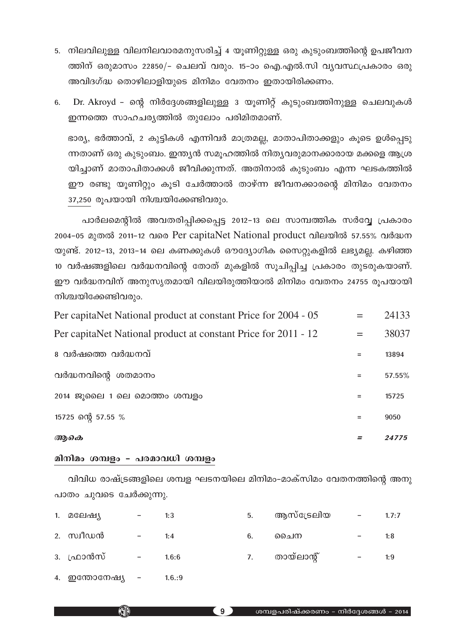- 5. നിലവിലുള്ള വിലനിലവാരമനുസരിച്ച് 4 യൂണിറ്റുള്ള ഒരു കുടുംബത്തിന്റെ ഉപജീവന ത്തിന് ഒരുമാസം 22850/– ചെലവ് വരും. 15–ാം ഐ.എൽ.സി വൃവസ്ഥപ്രകാരം ഒരു അവിദഗ്ദ്ധ തൊഴിലാളിയുടെ മിനിമം വേതനം ഇതായിരിക്കണം.
- Dr. Akroyd ന്റെ നിർദ്ദേശങ്ങളിലുള്ള 3 യൂണിറ്റ് കുടുംബത്തിനുള്ള ചെലവുകൾ 6. ഇന്നത്തെ സാഹചര്യത്തിൽ തുലോം പരിമിതമാണ്.

ഭാര്യ, ഭർത്താവ്, 2 കുട്ടികൾ എന്നിവർ മാത്രമല്ല, മാതാപിതാക്കളും കുടെ ഉൾപ്പെടു ന്നതാണ് ഒരു കുടുംബം. ഇന്ത്യൻ സമൂഹത്തിൽ നിത്യവരുമാനക്കാരായ മക്കളെ ആശ്ര യിച്ചാണ് മാതാപിതാക്കൾ ജീവിക്കുന്നത്. അതിനാൽ കുടുംബം എന്ന ഘടകത്തിൽ ഈ രണ്ടു യൂണിറ്റും കൂടി ചേർത്താൽ താഴ്ന്ന ജീവനക്കാരന്റെ മിനിമം വേതനം 37,250 രൂപയായി നിശ്ചയിക്കേണ്ടിവരും.

പാർലമെന്റിൽ അവതരിപ്പിക്കപ്പെട്ട 2012-13 ലെ സാമ്പത്തിക സർവ്വേ പ്രകാരം 2004-05 മുതൽ 2011-12 വരെ Per capitaNet National product വിലയിൽ 57.55% വർദ്ധന യുണ്ട്. 2012–13, 2013–14 ലെ കണക്കുകൾ ഔദ്യോഗിക സൈറ്റുകളിൽ ലഭ്യമല്ല. കഴിഞ്ഞ 10 വർഷങ്ങളിലെ വർദ്ധനവിന്റെ തോത് മുകളിൽ സൂചിപ്പിച്ച പ്രകാരം തുടരുകയാണ്. ഈ വർദ്ധനവിന് അനുസൃതമായി വിലയിരുത്തിയാൽ മിനിമം വേതനം 24755 രുപയായി നിശ്ചയിക്കേണ്ടിവരും.

| ആകെ                                                            |     | 24775  |
|----------------------------------------------------------------|-----|--------|
| 15725 ന്റെ 57.55 %                                             | $=$ | 9050   |
| 2014 ജുലൈ 1 ലെ മൊത്തം ശമ്പളം                                   |     | 15725  |
| വർദ്ധനവിന്റെ ശതമാനം                                            | $=$ | 57.55% |
| <u>േവർഷത്തെ വർദ്ധനവ്</u>                                       |     | 13894  |
| Per capitaNet National product at constant Price for 2011 - 12 | $=$ | 38037  |
| Per capitaNet National product at constant Price for 2004 - 05 |     | 24133  |

## മിനിമം ശമ്പളം - പരമാവധി ശമ്പളം

വിവിധ രാഷ്ട്രങ്ങളിലെ ശമ്പള ഘടനയിലെ മിനിമം–മാക്സിമം വേതനത്തിന്റെ അനു പാതം ചുവടെ ചേർക്കുന്നു.

| 1. മലേഷ്യ       |                          | 1:3   | 5. | ആസ്ട്രേലിയ | $\qquad \qquad -$            | 1.7:7 |
|-----------------|--------------------------|-------|----|------------|------------------------------|-------|
| 2. സ്വീഡൻ       |                          | 1:4   | 6. | ചൈന        | $\qquad \qquad \blacksquare$ | 1:8   |
| 3. ഫ്രാൻസ്      | $\overline{\phantom{m}}$ | 1.6:6 | 7. | തായ്ലാന്റ് | $\qquad \qquad -$            | 1:9   |
| 4. ഇന്തോനേഷ്യ - |                          | 1.6:9 |    |            |                              |       |

 $\begin{pmatrix} 9 \end{pmatrix}$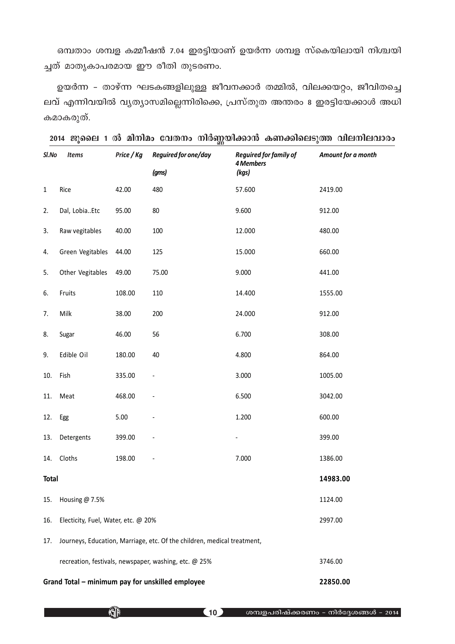ഒമ്പതാം ശമ്പള കമ്മീഷൻ 7.04 ഇരട്ടിയാണ് ഉയർന്ന ശമ്പള സ്കെയിലായി നിശ്ചയി ച്ചത് മാതൃകാപരമായ ഈ രീതി തുടരണം.

ഉയർന്ന - താഴ്ന്ന ഘടകങ്ങളിലുള്ള ജീവനക്കാർ തമ്മിൽ, വിലക്കയറ്റം, ജീവിതച്ചെ ലവ് എന്നിവയിൽ വൃത്യാസമില്ലെന്നിരിക്കെ, പ്രസ്തുത അന്തരം 8 ഇരട്ടിയേക്കാൾ അധി കമാകരുത്.

| Sl.No        | <b>Items</b>                                   | Price / Kg | Reguired for one/day                                                    | Reguired for family of<br>4 Members | Amount for a month |
|--------------|------------------------------------------------|------------|-------------------------------------------------------------------------|-------------------------------------|--------------------|
|              |                                                |            | (gms)                                                                   | (kgs)                               |                    |
| $\mathbf 1$  | Rice                                           | 42.00      | 480                                                                     | 57.600                              | 2419.00            |
| 2.           | Dal, LobiaEtc                                  | 95.00      | 80                                                                      | 9.600                               | 912.00             |
| 3.           | Raw vegitables                                 | 40.00      | 100                                                                     | 12.000                              | 480.00             |
| 4.           | Green Vegitables                               | 44.00      | 125                                                                     | 15.000                              | 660.00             |
| 5.           | Other Vegitables                               | 49.00      | 75.00                                                                   | 9.000                               | 441.00             |
| 6.           | Fruits                                         | 108.00     | 110                                                                     | 14.400                              | 1555.00            |
| 7.           | Milk                                           | 38.00      | 200                                                                     | 24.000                              | 912.00             |
| 8.           | Sugar                                          | 46.00      | 56                                                                      | 6.700                               | 308.00             |
| 9.           | Edible Oil                                     | 180.00     | 40                                                                      | 4.800                               | 864.00             |
| 10.          | Fish                                           | 335.00     | -                                                                       | 3.000                               | 1005.00            |
| 11.          | Meat                                           | 468.00     | -                                                                       | 6.500                               | 3042.00            |
| 12.          | Egg                                            | 5.00       |                                                                         | 1.200                               | 600.00             |
| 13.          | Detergents                                     | 399.00     | $\overline{\phantom{0}}$                                                | $\overline{\phantom{a}}$            | 399.00             |
| 14.          | Cloths                                         | 198.00     | -                                                                       | 7.000                               | 1386.00            |
| <b>Total</b> |                                                |            |                                                                         |                                     | 14983.00           |
| 15.          | Housing @ 7.5%                                 |            |                                                                         |                                     | 1124.00            |
| 16.          | Electicity, Fuel, Water, etc. @ 20%<br>2997.00 |            |                                                                         |                                     |                    |
| 17.          |                                                |            | Journeys, Education, Marriage, etc. Of the children, medical treatment, |                                     |                    |
|              |                                                |            | recreation, festivals, newspaper, washing, etc. @ 25%                   |                                     | 3746.00            |

| 2014 ജൂലൈ 1 ൽ മിനിമം വേതനം നിർണ്ണയിക്കാൻ കണക്കിലെടുത്ത വിലനിലവാരം |  |
|-------------------------------------------------------------------|--|
|-------------------------------------------------------------------|--|

Grand Total – minimum pay for unskilled employee 22850.00

 $\overline{\mathbb{C}}$ 

<mark>10</mark> ശമ്പളപരിഷ്ക്കരണം - നിർദ്ദേശങ്ങൾ - 2014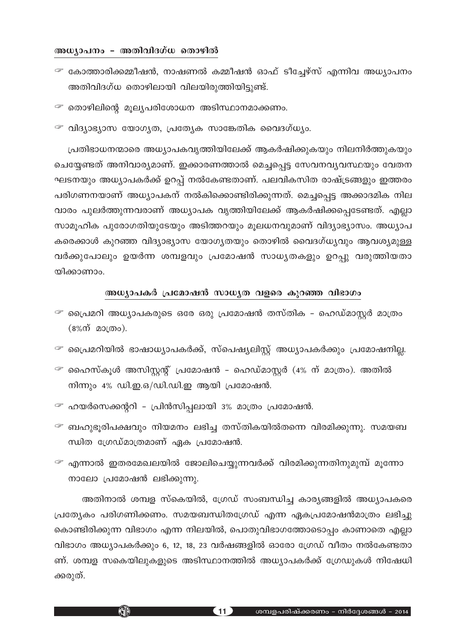#### അധ്യാപനം **– അതിവിദഗ്ധ** തൊഴിൽ

- $\mathcal F$  കോത്താരിക്കമ്മീഷൻ, നാഷണൽ കമ്മീഷൻ ഓഫ് ടീച്ചേഴ്സ് എന്നിവ അധ്യാപനം അതിവിദഗ്ധ തൊഴിലായി വിലയിരുത്തിയിട്ടുണ്ട്.
- $\mathcal F$  തൊഴിലിന്റെ മൂല്യപരിശോധന അടിസ്ഥാനമാക്കണം.
- $\mathcal F$  വിദ്യാഭ്യാസ യോഗ്യത, പ്രത്യേക സാങ്കേതിക വൈദഗ്ധ്യം.

പ്രതിഭാധനന്മാരെ അധ്യാപകവൃത്തിയിലേക്ക് ആകർഷിക്കുകയും നിലനിർത്തുകയും ചെയ്യേണ്ടത് അനിവാര്യമാണ്. ഇക്കാരണത്താൽ മെച്ചപ്പെട്ട സേവനവ്യവസ്ഥയും വേതന ഘടനയും അധ്യാപകർക്ക് ഉറപ്പ് നൽകേണ്ടതാണ്. പലവികസിത രാഷ്ട്രങ്ങളും ഇത്തരം പരിഗണനയാണ് അധ്യാപകന് നൽകിക്കൊണ്ടിരിക്കുന്നത്. മെച്ചപ്പെട്ട അക്കാദമിക നില വാരം പുലർത്തുന്നവരാണ് അധ്യാപക വൃത്തിയിലേക്ക് ആകർഷിക്കപ്പെടേണ്ടത്. എല്ലാ സാമൂഹിക പുരോഗതിയുടേയും അടിത്തറയും മൂലധനവുമാണ് വിദ്യാഭ്യാസം. അധ്യാപ കരെക്കാൾ കുറഞ്ഞ വിദ്യാഭ്യാസ യോഗ്യതയും തൊഴിൽ വൈദഗ്ധ്യവും ആവശ്യമുള്ള വർക്കുപോലും ഉയർന്ന ശമ്പളവും പ്രമോഷൻ സാധൃതകളും ഉറപ്പു വരുത്തിയതാ യിക്കാണാം.

## $\omega$  (Man-ing algao algao and algao and the pools and the mand in the mand of  $\omega_2$

- $\mathcal F$  പ്രൈമറി അധ്യാപകരുടെ ഒരേ ഒരു പ്രമോഷൻ തസ്തിക ഹെഡ്മാസ്റ്റർ മാത്രം  $(8\%$ ന് മാത്രം).
- $\mathcal F$  പ്രൈമറിയിൽ ഭാഷാധ്യാപകർക്ക്, സ്പെഷ്യലിസ്റ്റ് അധ്യാപകർക്കും പ്രമോഷനില്ല.
- $\mathcal F$  ഹൈസ്കൂൾ അസിസ്റ്റന്റ് പ്രമോഷൻ ഹെഡ്മാസ്റ്റർ (4% ന് മാത്രം). അതിൽ നിന്നും 4% ഡി.ഇ.ഒ/ഡി.ഡി.ഇ ആയി പ്രമോഷൻ.
- $\mathcal F$  ഹയർസെക്കന്ററി പ്രിൻസിപ്പലായി 3% മാത്രം പ്രമോഷൻ.

KHP

- $\widehat{\mathscr{F}}$  ബഹുഭൂരിപക്ഷവും നിയമനം ലഭിച്ച തസ്തികയിൽതന്നെ വിരമിക്കുന്നു. സമയബ  $m$ ിത ഗ്രേഡ്മാത്രമാണ് ഏക പ്രമോഷൻ.
- $\widehat{\phantom{I}}$ ് എന്നാൽ ഇതരമേഖലയിൽ ജോലിചെയ്യുന്നവർക്ക് വിരമിക്കുന്നതിനുമുമ്പ് മൂന്നോ  $\omega$ ാലോ പ്രമോഷൻ ലഭിക്കുന്നു.

അതിനാൽ ശമ്പള സ്കെയിൽ, ഗ്രേഡ് സംബന്ധിച്ച കാര്യങ്ങളിൽ അധ്യാപകരെ ്രപത്യേകം പരിഗണിക്കണം. സമയബന്ധിതഗ്രേഡ് എന്ന ഏകപ്രമോഷൻമാത്രം ലഭിച്ചു കൊണ്ടിരിക്കുന്ന വിഭാഗം എന്ന നിലയിൽ, പൊതുവിഭാഗത്തോടൊപ്പം കാണാതെ എല്ലാ വിഭാഗം അധ്യാപകർക്കും 6, 12, 18, 23 വർഷങ്ങളിൽ ഓരോ ഗ്രേഡ് വീതം നൽകേണ്ടതാ ണ്. ശമ്പള സകെയിലുകളുടെ അടിസ്ഥാനത്തിൽ അധ്യാപകർക്ക് ഗ്രേഡുകൾ നിഷേധി ക്കരുത്.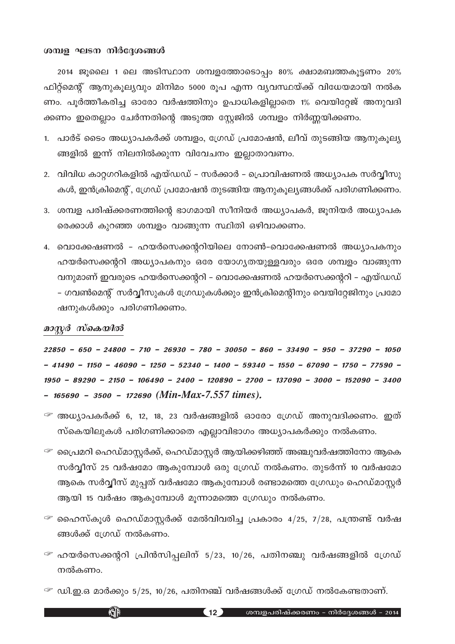#### ശമ്പള ഘടന നിർദ്ദേശങ്ങൾ

2014 ജൂലൈ 1 ലെ അടിസ്ഥാന ശമ്പളത്തോടൊപ്പം 80% ക്ഷാമബത്തകൂട്ടണം 20% ഫിറ്റ്മെന്റ് ആനുകൂല്യവും മിനിമം 5000 രൂപ എന്ന വ്യവസ്ഥയ്ക്ക് വിധേയമായി നൽക ണം. പൂർത്തീകരിച്ച ഓരോ വർഷത്തിനും ഉപാധികളില്ലാതെ 1% വെയിറ്റേജ് അനുവദി ക്കണം ഇതെല്ലാം ചേർന്നതിന്റെ അടുത്ത സ്റ്റേജിൽ ശമ്പളം നിർണ്ണയിക്കണം.

- 1. പാർട് ടൈം അധ്യാപകർക്ക് ശമ്പളം, ഗ്രേഡ് പ്രമോഷൻ, ലീവ് തുടങ്ങിയ ആനുകൂല്യ ങ്ങളിൽ ഇന്ന് നിലനിൽക്കുന്ന വിവേചനം ഇല്ലാതാവണം.
- 2. വിവിധ കാറ്റഗറികളിൽ എയ്ഡഡ് സർക്കാർ പ്രൊവിഷണൽ അധ്യാപക സർവ്വീസു കൾ, ഇൻക്രിമെന്റ്, ഗ്രേഡ് പ്രമോഷൻ തുടങ്ങിയ ആനുകൂല്യങ്ങൾക്ക് പരിഗണിക്കണം.
- 3. ശമ്പള പരിഷ്ക്കരണത്തിന്റെ ഭാഗമായി സീനിയർ അധ്യാപകർ, ജൂനിയർ അധ്യാപക രെക്കാൾ കുറഞ്ഞ ശമ്പളം വാങ്ങുന്ന സ്ഥിതി ഒഴിവാക്കണം.
- 4. വൊക്കേഷണൽ ഹയർസെക്കന്ററിയിലെ നോൺ–വൊക്കേഷണൽ അധ്യാപകനും ഹയർസെക്കന്ററി അധ്യാപകനും ഒരേ യോഗ്യതയുള്ളവരും ഒരേ ശമ്പളം വാങ്ങുന്ന വനുമാണ് ഇവരുടെ ഹയർസെക്കന്ററി – വൊക്കേഷണൽ ഹയർസെക്കന്ററി – എയ്ഡഡ് – ഗവൺമെന്റ് സർവ്വീസുകൾ ഗ്രേഡുകൾക്കും ഇൻക്രിമെന്റിനും വെയിറ്റേജിനും പ്രമോ ഷനുകൾക്കും പരിഗണിക്കണം.

## മാസ്റ്റർ സ്കെയിൽ

**KJP** 

 $22850 - 650 - 24800 - 710 - 26930 - 780 - 30050 - 860 - 33490 - 950 - 37290 - 1050$  $-41490 - 1150 - 46090 - 1250 - 52340 - 1400 - 59340 - 1550 - 67090 - 1750 - 77590 1950 - 89290 - 2150 - 106490 - 2400 - 120890 - 2700 - 137090 - 3000 - 152090 - 3400$  $-$  165690 - 3500 - 172690 (Min-Max-7.557 times).

- $^\varpi$  അധ്യാപകർക്ക് 6, 12, 18, 23 വർഷങ്ങളിൽ ഓരോ ഗ്രേഡ് അനുവദിക്കണം. ഇത് സ്കെയിലുകൾ പരിഗണിക്കാതെ എല്ലാവിഭാഗം അധ്യാപകർക്കും നൽകണം.
- $\mathcal F$  പ്രൈമറി ഹെഡ്മാസ്റ്റർക്ക്, ഹെഡ്മാസ്റ്റർ ആയിക്കഴിഞ്ഞ് അഞ്ചുവർഷത്തിനോ ആകെ സർവ്വീസ് 25 വർഷമോ ആകുമ്പോൾ ഒരു ഗ്രേഡ് നൽകണം. തുടർന്ന് 10 വർഷമോ ആകെ സർവ്വീസ് മുപ്പത് വർഷമോ ആകുമ്പോൾ രണ്ടാമത്തെ ഗ്രേഡും ഹെഡ്മാസ്റ്റർ ആയി 15 വർഷം ആകുമ്പോൾ മൂന്നാമത്തെ ഗ്രേഡും നൽകണം.
- $\mathcal F$  ഹൈസ്കൂൾ ഹെഡ്മാസ്റ്റർക്ക് മേൽവിവരിച്ച പ്രകാരം 4/25, 7/28, പന്ത്രണ്ട് വർഷ ങ്ങൾക്ക് ഗ്രേഡ് നൽകണം.
- $\mathcal F$  ഹയർസെക്കന്ററി പ്രിൻസിപ്പലിന് 5/23, 10/26, പതിനഞ്ചു വർഷങ്ങളിൽ ഗ്രേഡ് നൽകണം.
- $\mathcal F$  ഡി.ഇ.ഒ മാർക്കും 5/25, 10/26, പതിനഞ്ച് വർഷങ്ങൾക്ക് ഗ്രേഡ് നൽകേണ്ടതാണ്.

 $(12)$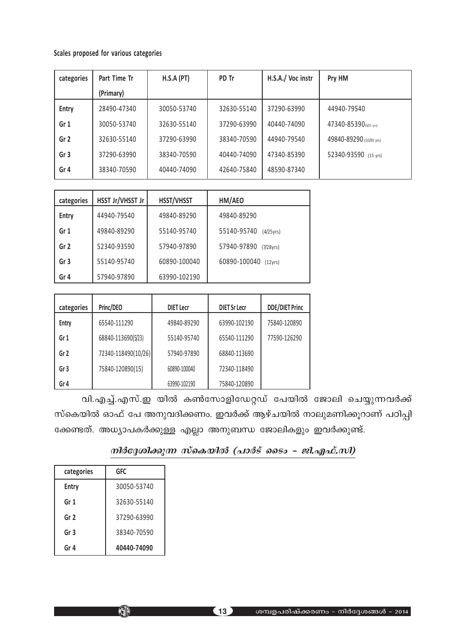## Scales proposed for various categories

| categories      | Part Time Tr | H.S.A (PT)  | PD Tr       | H.S.A./ Voc instr | Pry HM                  |
|-----------------|--------------|-------------|-------------|-------------------|-------------------------|
|                 | (Primary)    |             |             |                   |                         |
| Entry           | 28490-47340  | 30050-53740 | 32630-55140 | 37290-63990       | 44940-79540             |
| Gr <sub>1</sub> | 30050-53740  | 32630-55140 | 37290-63990 | 40440-74090       | 47340-85390(5/25 yrs)   |
| Gr <sub>2</sub> | 32630-55140  | 37290-63990 | 38340-70590 | 44940-79540       | 49840-89290 (10/30 yrs) |
| Gr <sub>3</sub> | 37290-63990  | 38340-70590 | 40440-74090 | 47340-85390       | 52340-93590 (15 yrs)    |
| Gr <sub>4</sub> | 38340-70590  | 40440-74090 | 42640-75840 | 48590-87340       |                         |

| categories      | HSST Jr/VHSST Jr | HSST/VHSST   | HM/AEO                          |
|-----------------|------------------|--------------|---------------------------------|
| <b>Entry</b>    | 44940-79540      | 49840-89290  | 49840-89290                     |
| Gr 1            | 49840-89290      | 55140-95740  | 55140-95740<br>$(4/25\gamma)$   |
| Gr <sub>2</sub> | 52340-93590      | 57940-97890  | 57940-97890<br>$(7/28\gamma)$   |
| Gr <sub>3</sub> | 55140-95740      | 60890-100040 | 60890-100040<br>$(12\gamma rs)$ |
| Gr 4            | 57940-97890      | 63990-102190 |                                 |

| categories      | Princ/DEO           | <b>DIET Lecr</b> | <b>DIET Sr Lecr</b> | <b>DDE/DIET Princ</b> |
|-----------------|---------------------|------------------|---------------------|-----------------------|
| Entry           | 65540-111290        | 49840-89290      | 63990-102190        | 75840-120890          |
| Gr <sub>1</sub> | 68840-113690(5/23)  | 55140-95740      | 65540-111290        | 77590-126290          |
| Gr <sub>2</sub> | 72340-118490(10/26) | 57940-97890      | 68840-113690        |                       |
| Gr <sub>3</sub> | 75840-120890(15)    | 60890-100040     | 72340-118490        |                       |
| Gr 4            |                     | 63990-102190     | 75840-120890        |                       |

വി.എച്ച്.എസ്.ഇ യിൽ കൺസോളിഡേറ്റഡ് പേയിൽ ജോലി ചെയ്യുന്നവർക്ക് സ്കെയിൽ ഓഫ് പേ അനുവദിക്കണം. ഇവർക്ക് ആഴ്ചയിൽ നാലുമണിക്കൂറാണ് പഠിപ്പി ക്കേണ്ടത്. അധ്യാപകർക്കുള്ള എല്ലാ അനുബന്ധ ജോലികളും ഇവർക്കുണ്ട്.

## $\it m$ 1ർദ്ദേശിക്കുന്ന സ്കെയിൽ (പാർട് ടൈം – ജി.എഫ്.സി)

| categories      | gfc         |
|-----------------|-------------|
| <b>Entry</b>    | 30050-53740 |
| Gr 1            | 32630-55140 |
| Gr 2            | 37290-63990 |
| Gr <sub>3</sub> | 38340-70590 |
| Gr 4            | 40440-74090 |

KID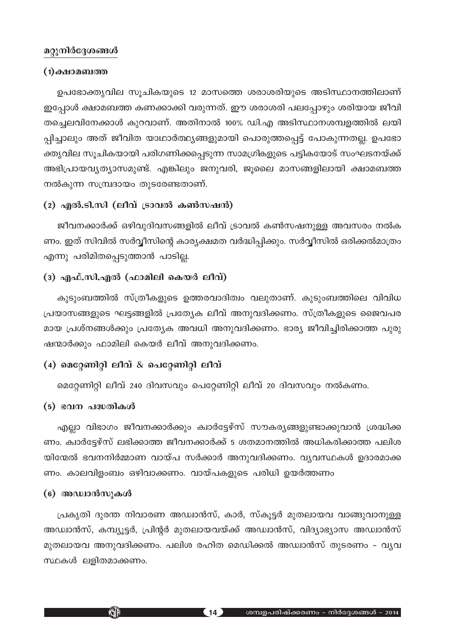## മറ്റുനിർദ്ദേശങ്ങൾ

#### $(1)$ ക്ഷാമബത്ത

ഉപഭോക്തൃവില സൂചികയുടെ 12 മാസത്തെ ശരാശരിയുടെ അടിസ്ഥാനത്തിലാണ് ഇപ്പോൾ ക്ഷാമബത്ത കണക്കാക്കി വരുന്നത്. ഈ ശരാശരി പലപ്പോഴും ശരിയായ ജീവി തച്ചെലവിനേക്കാൾ കുറവാണ്. അതിനാൽ 100% ഡി.എ അടിസ്ഥാനശമ്പളത്തിൽ ലയി പ്പിച്ചാലും അത് ജീവിത യാഥാർത്ഥ്യങ്ങളുമായി പൊരുത്തപ്പെട്ട് പോകുന്നതല്ല. ഉപഭോ ക്തൃവില സൂചികയായി പരിഗണിക്കപ്പെടുന്ന സാമഗ്രികളുടെ പട്ടികയോട് സംഘടനയ്ക്ക് അഭിപ്രായവ്യത്യാസമുണ്ട്. എങ്കിലും ജനുവരി, ജുലൈ മാസങ്ങളിലായി ക്ഷാമബത്ത നൽകുന്ന സമ്പ്രദായം തുടരേണ്ടതാണ്.

## (2) എൽ.ടി.സി (ലീവ് ട്രാവൽ കൺസഷൻ)

ജീവനക്കാർക്ക് ഒഴിവുദിവസങ്ങളിൽ ലീവ് ട്രാവൽ കൺസഷനുള്ള അവസരം നൽക ണം. ഇത് സിവിൽ സർവ്വീസിന്റെ കാര്യക്ഷമത വർദ്ധിപ്പിക്കും. സർവ്വീസിൽ ഒരിക്കൽമാത്രം എന്നു പരിമിതപ്പെടുത്താൻ പാടില്ല.

## (3) എഫ്.സി.എൽ (ഫാമിലി കെയർ ലീവ്)

കുടുംബത്തിൽ സ്ത്രീകളുടെ ഉത്തരവാദിത്വം വലുതാണ്. കുടുംബത്തിലെ വിവിധ പ്രയാസങ്ങളുടെ ഘട്ടങ്ങളിൽ പ്രത്യേക ലീവ് അനുവദിക്കണം. സ്ത്രീകളുടെ ജൈവപര മായ പ്രശ്നങ്ങൾക്കും പ്രത്യേക അവധി അനുവദിക്കണം. ഭാര്യ ജീവിച്ചിരിക്കാത്ത പുരു ഷന്മാർക്കും ഫാമിലി കെയർ ലീവ് അനുവദിക്കണം.

## (4) മെറ്റേണിറ്റി ലീവ്  $\&$  പെറ്റേണിറ്റി ലീവ്

മെറ്റേണിറ്റി ലീവ് 240 ദിവസവും പെറ്റേണിറ്റി ലീവ് 20 ദിവസവും നൽകണം.

## (5) ഭവന പദ്ധതികൾ

എല്ലാ വിഭാഗം ജീവനക്കാർക്കും ക്വാർട്ടേഴ്സ് സൗകര്യങ്ങളുണ്ടാക്കുവാൻ ശ്രദ്ധിക്ക ണം. ക്വാർട്ടേഴ്സ് ലഭിക്കാത്ത ജീവനക്കാർക്ക് 5 ശതമാനത്തിൽ അധികരിക്കാത്ത പലിശ യിന്മേൽ ഭവനനിർമ്മാണ വായ്പ സർക്കാർ അനുവദിക്കണം. വൃവസ്ഥകൾ ഉദാരമാക്ക ണം. കാലവിളംബം ഒഴിവാക്കണം. വായ്പകളുടെ പരിധി ഉയർത്തണം

## (6) അഡ്വാൻസുകൾ

**KJP** 

പ്രകൃതി ദൂരന്ത നിവാരണ അഡ്വാൻസ്, കാർ, സ്കൂട്ടർ മുതലായവ വാങ്ങുവാനുള്ള അഡ്വാൻസ്, കമ്പ്യൂട്ടർ, പ്രിന്റർ മുതലായവയ്ക്ക് അഡ്വാൻസ്, വിദ്യാഭ്യാസ അഡ്വാൻസ് മുതലായവ അനുവദിക്കണം. പലിശ രഹിത മെഡിക്കൽ അഡ്വാൻസ് തുടരണം - വൃവ സ്ഥകൾ ലളിതമാക്കണം.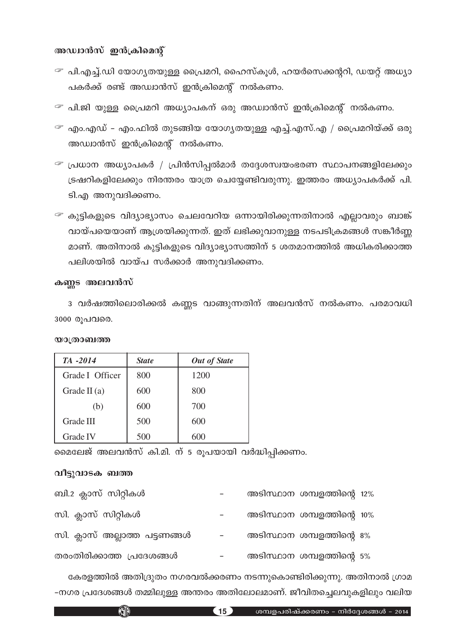## അഡ്വാൻസ് ഇൻക്രിമെന്റ്

- $\mathcal F$  പി.എച്ച്.ഡി യോഗൃതയുള്ള പ്രൈമറി, ഹൈസ്കൂൾ, ഹയർസെക്കന്ററി, ഡയറ്റ് അധ്യാ പകർക്ക് രണ്ട് അഡ്വാൻസ് ഇൻക്രിമെന്റ് നൽകണം.
- $\mathcal F$  പി.ജി യുള്ള പ്രൈമറി അധ്യാപകന് ഒരു അഡ്വാൻസ് ഇൻക്രിമെന്റ് നൽകണം.
- $\mathcal F$  എം.എഡ് എം.ഫിൽ തുടങ്ങിയ യോഗൃതയുള്ള എച്ച്.എസ്.എ / പ്രൈമറിയ്ക്ക് ഒരു അഡ്വാൻസ് ഇൻക്രിമെന്റ് നൽകണം.
- $\mathcal F$  പ്രധാന അധ്യാപകർ / പ്രിൻസിപ്പൽമാർ തദ്ദേശസ്വയംഭരണ സ്ഥാപനങ്ങളിലേക്കും ്രഷറികളിലേക്കും നിരന്തരം യാത്ര ചെയ്യേണ്ടിവരുന്നു. ഇത്തരം അധ്യാപകർക്ക് പി. ടി.എ അനുവദിക്കണം.
- $^{\textcolor{red}{\mathcal{F}}}$  കുട്ടികളുടെ വിദ്യാഭ്യാസം ചെലവേറിയ ഒന്നായിരിക്കുന്നതിനാൽ എല്ലാവരും ബാങ്ക് വായ്പയെയാണ് ആശ്രയിക്കുന്നത്. ഇത് ലഭിക്കുവാനുള്ള നടപടിക്രമങ്ങൾ സങ്കീർണ്ണ മാണ്. അതിനാൽ കുട്ടികളുടെ വിദ്യാഭ്യാസത്തിന് 5 ശതമാനത്തിൽ അധികരിക്കാത്ത പലിശയിൽ വായ്പ സർക്കാർ അനുവദിക്കണം.

## കണ്ണട അലവൻസ്

3 വർഷത്തിലൊരിക്കൽ കണ്ണട വാങ്ങുന്നതിന് അലവൻസ് നൽകണം. പരമാവധി 3000 രൂപവരെ.

| TA -2014        | <b>State</b> | <b>Out of State</b> |
|-----------------|--------------|---------------------|
| Grade I Officer | 800          | 1200                |
| Grade II $(a)$  | 600          | 800                 |
| (b)             | 600          | 700                 |
| Grade III       | 500          | 600                 |
| Grade IV        | 500          | 600                 |

**യാത്രാബത്ത** 

മെലേജ് അലവൻസ് കി.മി. ന് 5 രൂപയായി വർദ്ധിപ്പിക്കണം.

## വീട്ടുവാടക ബത്ത

KHP

| ബി.2 ക്ലാസ് സിറ്റികൾ          |  | അടിസ്ഥാന ശമ്പളത്തിന്റെ 12% |  |
|-------------------------------|--|----------------------------|--|
| സി. ക്ലാസ് സിറ്റികൾ           |  | അടിസ്ഥാന ശമ്പളത്തിന്റെ 10% |  |
| സി. ക്ലാസ് അല്ലാത്ത പട്ടണങ്ങൾ |  | അടിസ്ഥാന ശമ്പളത്തിന്റെ 8%  |  |
| തരംതിരിക്കാത്ത പ്രദേശങ്ങൾ     |  | അടിസ്ഥാന ശമ്പളത്തിന്റെ 5%  |  |

കേരളത്തിൽ അതിദ്രുതം നഗരവൽക്കരണം നടന്നുകൊണ്ടിരിക്കുന്നു. അതിനാൽ ഗ്രാമ -നഗര പ്രദേശങ്ങൾ തമ്മിലുള്ള അന്തരം അതിലോലമാണ്. ജീവിതച്ചെലവുകളിലും വലിയ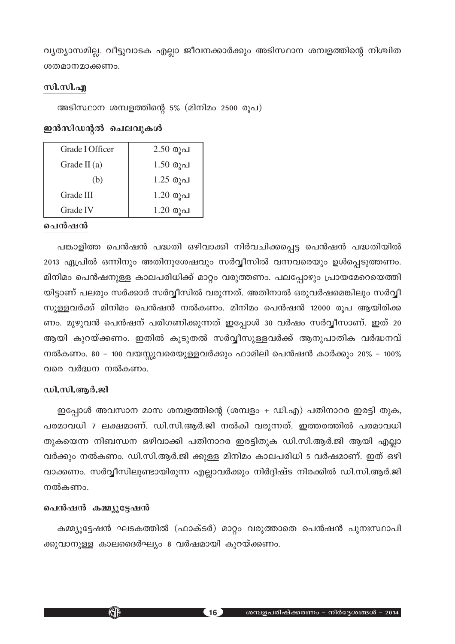വ്യത്യാസമില്ല. വീട്ടുവാടക എല്ലാ ജീവനക്കാർക്കും അടിസ്ഥാന ശമ്പളത്തിന്റെ നിശ്ചിത ശതമാനമാക്കണം.

## സി.സി.എ

അടിസ്ഥാന ശമ്പളത്തിന്റെ 5% (മിനിമം 2500 രൂപ)

## ഇൻസിഡന്റൽ ചെലവുകൾ

| Grade I Officer | $2.50 \Omega$ വ |
|-----------------|-----------------|
| Grade II $(a)$  | $1.50 \Omega$ വ |
| (b)             | $1.25$ രൂപ      |
| Grade III       | $1.20 \Omega$ വ |
| Grade IV        | $1.20 \Omega$ വ |

## **ചെൻഷൻ**

പങ്കാളിത്ത പെൻഷൻ പദ്ധതി ഒഴിവാക്കി നിർവചിക്കപ്പെട്ട പെൻഷൻ പദ്ധതിയിൽ 2013 ഏപ്രിൽ ഒന്നിനും അതിനുശേഷവും സർവ്വീസിൽ വന്നവരെയും ഉൾപ്പെടുത്തണം. മിനിമം പെൻഷനുള്ള കാലപരിധിക്ക് മാറ്റം വരുത്തണം. പലപ്പോഴും പ്രായമേറെയെത്തി യിട്ടാണ് പലരും സർക്കാർ സർവ്വീസിൽ വരുന്നത്. അതിനാൽ ഒരുവർഷമെങ്കിലും സർവ്വീ സുള്ളവർക്ക് മിനിമം പെൻഷൻ നൽകണം. മിനിമം പെൻഷൻ 12000 രൂപ ആയിരിക്ക ണം. മുഴുവൻ പെൻഷന് പരിഗണിക്കുന്നത് ഇപ്പോൾ 30 വർഷം സർവ്വീസാണ്. ഇത് 20 ആയി കുറയ്ക്കണം. ഇതിൽ കൂടുതൽ സർവ്വീസുള്ളവർക്ക് ആനുപാതിക വർദ്ധനവ് നൽകണം. 80 - 100 വയസ്സുവരെയുള്ളവർക്കും ഫാമിലി പെൻഷൻ കാർക്കും 20% - 100% വരെ വർദ്ധന നൽകണം.

## ഡി.സി.ആർ.ജി

 $\underline{\infty}$ പ്പോൾ അവസാന മാസ ശമ്പളത്തിന്റെ (ശമ്പളം + ഡി.എ) പതിനാറര ഇരട്ടി തുക, പരമാവധി 7 ലക്ഷമാണ്. ഡി.സി.ആർ.ജി നൽകി വരുന്നത്. ഇത്തരത്തിൽ പരമാവധി തുകയെന്ന നിബന്ധന ഒഴിവാക്കി പതിനാറര ഇരട്ടിതുക ഡി.സി.ആർ.ജി ആയി എല്ലാ വർക്കും നൽകണം. ഡി.സി.ആർ.ജി ക്കുള്ള മിനിമം കാലപരിധി 5 വർഷമാണ്. ഇത് ഒഴി വാക്കണം. സർവ്വീസിലുണ്ടായിരുന്ന എല്ലാവർക്കും നിർദ്ദിഷ്ട നിരക്കിൽ ഡി.സി.ആർ.ജി നൽകണം.

## പെൻഷൻ കമ്മ്യൂട്ടേഷൻ

KJD

കമ്മ്യൂട്ടേഷൻ ഘടകത്തിൽ (ഫാക്ടർ) മാറ്റം വരുത്താതെ പെൻഷൻ പുനഃസ്ഥാപി ക്കുവാനുള്ള കാലദൈർഘ്യം 8 വർഷമായി കുറയ്ക്കണം.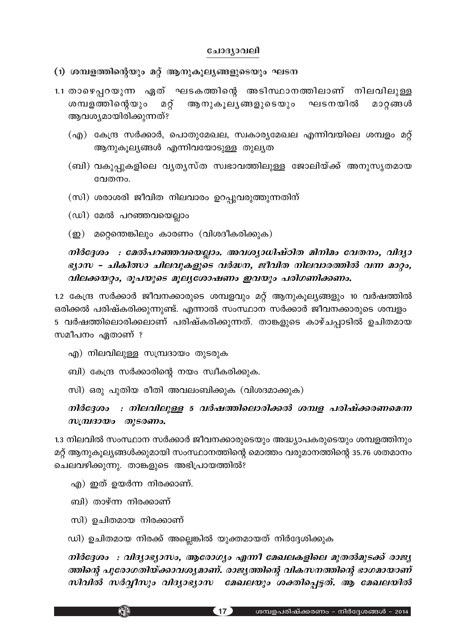#### ചോദ്യാവലി

(1) ശമ്പളത്തിന്റെയും മറ്റ് ആനുകൂല്യങ്ങളുടെയും ഘടന

- 1.1 താഴെപ്പറയുന്ന ഏത് ഘടകത്തിന്റെ അടിസ്ഥാനത്തിലാണ് നിലവിലുള്ള മറ്റ് ആനുകൂലൃങ്ങളുടെയും ഘടനയിൽ ശമ്പളത്തിന്റെയും മാറ്റങ്ങൾ ആവശ്യമായിരിക്കുന്നത്?
	- (എ) കേന്ദ്ര സർക്കാർ, പൊതുമേഖല, സ്വകാര്യമേഖല എന്നിവയിലെ ശമ്പളം മറ്റ് ആനുകൂല്യങ്ങൾ എന്നിവയോടുള്ള തുല്യത
	- (ബി) വകുപ്പുകളിലെ വൃതൃസ്ത സ്വഭാവത്തിലുള്ള ജോലിയ്ക്ക് അനുസൃതമായ വേതനം.
	- (സി) ശരാശരി ജീവിത നിലവാരം ഉറപ്പുവരുത്തുന്നതിന്
	- (ഡി) മേൽ പറഞ്ഞവയെല്ലാം
	- (ഇ) മറ്റെന്തെങ്കിലും കാരണം (വിശദീകരിക്കുക)

നിർദ്ദേശം : മേൽപറഞ്ഞവയെല്ലാം. അവശ്യാധിഷ്ഠിത മിനിമം വേതനം, വിദ്യാ ഭ്യാസ - ചികിത്സാ ചിലവുകളുടെ വർദ്ധന, ജീവിത നിലവാരത്തിൽ വന്ന മാറ്റം, വിലക്കയറ്റം, രൂപയുടെ മൂല്യശോഷണം ഇവയും പരിഗണിക്കണം.

1.2 കേന്ദ്ര സർക്കാർ ജീവനക്കാരുടെ ശമ്പളവും മറ്റ് ആനുകൂല്യങ്ങളും 10 വർഷത്തിൽ ഒരിക്കൽ പരിഷ്കരിക്കുന്നുണ്ട്. എന്നാൽ സംസ്ഥാന സർക്കാർ ജീവനക്കാരുടെ ശമ്പളം 5 വർഷത്തിലൊരിക്കലാണ് പരിഷ്കരിക്കുന്നത്. താങ്കളുടെ കാഴ്ചപ്പാടിൽ ഉചിതമായ സമീപനം ഏതാണ് ?

- എ) നിലവിലുള്ള സമ്പ്രദായം തുടരുക
- ബി) കേന്ദ്ര സർക്കാരിന്റെ നയം സ്വീകരിക്കുക.
- സി) ഒരു പുതിയ രീതി അവലംബിക്കുക (വിശദമാക്കുക)

## നിർദ്ദേശം : നിലവിലുള്ള 5 വർഷത്തിലൊരിക്കൽ ശമ്പള പരിഷ്ക്കരണമെന്ന സമ്പ്രദായം തുടരണം.

1.3 നിലവിൽ സംസ്ഥാന സർക്കാർ ജീവനക്കാരുടെയും അദ്ധ്യാപകരുടെയും ശമ്പളത്തിനും മറ്റ് ആനുകൂല്യങ്ങൾക്കുമായി സംസ്ഥാനത്തിന്റെ മൊത്തം വരുമാനത്തിന്റെ 35.76 ശതമാനം ചെലവഴിക്കുന്നു. താങ്കളുടെ അഭിപ്രായത്തിൽ?

- എ) ഇത് ഉയർന്ന നിരക്കാണ്.
- ബി) താഴ്ന്ന നിരക്കാണ്
- സി) ഉചിതമായ നിരക്കാണ്

**KATA** 

ഡി) ഉചിതമായ നിരക്ക് അല്ലെങ്കിൽ യുക്തമായത് നിർദ്ദേശിക്കുക

നിർദ്ദേശം : വിദ്യാഭ്യാസം, ആരോഗ്യം എന്നീ മേഖലകളിലെ മുതൽമുടക്ക് രാജ്യ ത്തിന്റെ പുരോഗതിയ്ക്കാവശ്യമാണ്. രാജ്യത്തിന്റെ വികസനത്തിന്റെ ഭാഗമായാണ് സിവിൽ സർവ്വീസും വിദ്യാഭ്യാസ മേഖലയും ശക്തിപ്പെട്ടത്. ആ മേഖലയിൽ

(17)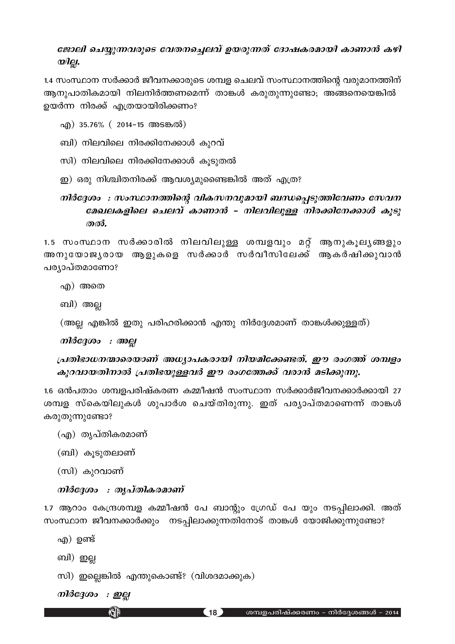## ജോലി ചെയ്യുന്നവരുടെ വേതനച്ചെലവ് ഉയരുന്നത് ദോഷകരമായി കാണാൻ കഴി wlgi.

1.4 സംസ്ഥാന സർക്കാർ ജീവനക്കാരുടെ ശമ്പള ചെലവ് സംസ്ഥാനത്തിന്റെ വരുമാനത്തിന് ആനുപാതികമായി നിലനിർത്തണമെന്ന് താങ്കൾ കരുതുന്നുണ്ടോ; അങ്ങനെയെങ്കിൽ ഉയർന്ന നിരക്ക് എത്രയായിരിക്കണം?

- എ) 35.76% ( 2014-15 അടങ്കൽ)
- ബി) നിലവിലെ നിരക്കിനേക്കാൾ കുറവ്
- സി) നിലവിലെ നിരക്കിനേക്കാൾ കൂടുതൽ
- ഇ) ഒരു നിശ്ചിതനിരക്ക് ആവശ്യമുണ്ടൈങ്കിൽ അത് എത്ര?

## നിർദ്ദേശം : സംസ്ഥാനത്തിന്റെ വികസനവുമായി ബന്ധപ്പെടുത്തിവേണം സേവന മേഖലകളിലെ ചെലവ് കാണാൻ - നിലവിലുള്ള നിരക്കിനേക്കാൾ കൂടു തൽ.

1.5 സംസ്ഥാന സർക്കാരിൽ നിലവിലുള്ള ശമ്പളവും മറ്റ് ആനുകൂലൃങ്ങളും അനുയോജൃരായ ആളുകളെ സർക്കാർ സർവീസിലേക്ക് ആകർഷിക്കുവാൻ പര്യാപ്തമാണോ?

- എ) അതെ
- ബി) അല്ല

(അല്ല എങ്കിൽ ഇതു പരിഹരിക്കാൻ എന്തു നിർദ്ദേശമാണ് താങ്കൾക്കുള്ളത്)

നിർദ്ദേശം : അല്ല

## പ്രതിഭാധനന്മാരെയാണ് അധ്യാപകരായി നിയമിക്കേണ്ടത്. ഈ രംഗത്ത് ശമ്പളം കുറവായതിനാൽ പ്രതിഭയുള്ളവർ ഈ രംഗത്തേക്ക് വരാൻ മടിക്കുന്നു.

1.6 ഒൻപതാം ശമ്പളപരിഷ്കരണ കമ്മീഷൻ സംസ്ഥാന സർക്കാർജീവനക്കാർക്കായി 27 ശമ്പള സ്കെയിലുകൾ ശുപാർശ ചെയ്തിരുന്നു. ഇത് പര്യാപ്തമാണെന്ന് താങ്കൾ കരുതുന്നുണ്ടോ?

```
(എ) തൃപ്തികരമാണ്
```
(ബി) കൂടുതലാണ്

```
(സി) കുറവാണ്
```
## നിർദേശം : തൃപ്തികരമാണ്

1.7 ആറാം കേന്ദ്രശമ്പള കമ്മീഷൻ പേ ബാന്റും ഗ്രേഡ് പേ യും നടപ്പിലാക്കി. അത് സംസ്ഥാന ജീവനക്കാർക്കും നടപ്പിലാക്കുന്നതിനോട് താങ്കൾ യോജിക്കുന്നുണ്ടോ?

 $(18)$ 

- എ) ഉണ്ട്
- ബി) ഇല്ല
- സി) ഇല്ലെങ്കിൽ എന്തുകൊണ്ട്? (വിശദമാക്കുക)

നിർദ്ദേശം : ഇല്ല

**KJP**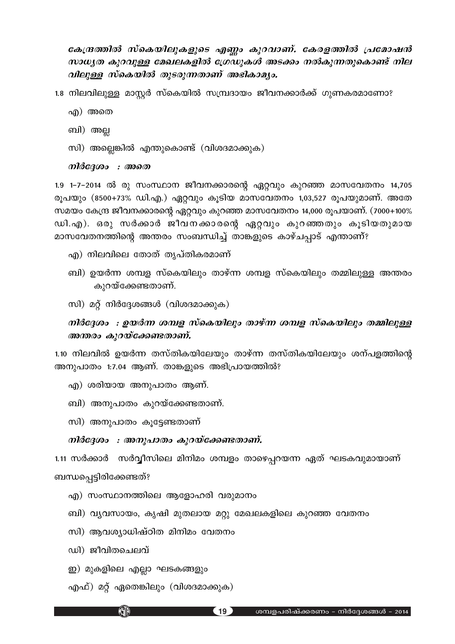കേന്ദ്രത്തിൽ സ്കെയിലുകളുടെ എണ്ണം കുറവാണ്. കേരളത്തിൽ പ്രമോഷൻ സാധ്യത കുറവുള്ള മേഖലകളിൽ ഗ്രേഡുകൾ അടക്കം നൽകുന്നതുകൊണ്ട് നില വിലുള്ള സ്കെയിൽ തുടരുന്നതാണ് അഭികാമൃം.

- 1.8 നിലവിലുള്ള മാസ്റ്റർ സ്കെയിൽ സമ്പ്രദായം ജീവനക്കാർക്ക് ഗുണകരമാണോ?
	- എ) അതെ
	- ബി) അല്ല
	- സി) അല്ലെങ്കിൽ എന്തുകൊണ്ട് (വിശദമാക്കുക)

#### നിർദ്ദേശം : അതെ

1.9 1-7-2014 ൽ രു സംസ്ഥാന ജീവനക്കാരന്റെ ഏറ്റവും കുറഞ്ഞ മാസവേതനം 14,705 രൂപയും (8500+73% ഡി.എ.) ഏറ്റവും കൂടിയ മാസവേതനം 1,03,527 രൂപയുമാണ്. അതേ സമയം കേന്ദ്ര ജീവനക്കാരന്റെ ഏറ്റവും കുറഞ്ഞ മാസവേതനം 14,000 രൂപയാണ്. (7000+100% ഡി.എ). ഒരു സർക്കാർ ജീവനക്കാരന്റെ ഏറ്റവും കുറഞ്ഞതും കൂടിയതുമായ മാസവേതനത്തിന്റെ അന്തരം സംബന്ധിച്ച് താങ്കളുടെ കാഴ്ചപ്പാട് എന്താണ്?

- എ) നിലവിലെ തോത് തൃപ്തികരമാണ്
- ബി) ഉയർന്ന ശമ്പള സ്കെയിലും താഴ്ന്ന ശമ്പള സ്കെയിലും തമ്മിലുള്ള അന്തരം കുറയ്ക്കേണ്ടതാണ്.
- സി) മറ്റ് നിർദ്ദേശങ്ങൾ (വിശദമാക്കുക)

## നിർദ്ദേശം : ഉയർന്ന ശമ്പള സ്കെയിലും താഴ്ന്ന ശമ്പള സ്കെയിലും തമ്മിലുള്ള അന്തരം കുറയ്ക്കേണ്ടതാണ്.

1.10 നിലവിൽ ഉയർന്ന തസ്തികയിലേയും താഴ്ന്ന തസ്തികയിലേയും ശന്പളത്തിന്റെ അനുപാതം 1:7.04 ആണ്. താങ്കളുടെ അഭിപ്രായത്തിൽ?

- എ) ശരിയായ അനുപാതം ആണ്.
- ബി) അനുപാതം കുറയ്ക്കേണ്ടതാണ്.
- സി) അനുപാതം കുട്ടേണ്ടതാണ്

## നിർദേശം : അനുപാതം കുറയ്ക്കേണ്ടതാണ്.

1.11 സർക്കാർ സർവ്വീസിലെ മിനിമം ശമ്പളം താഴെപ്പറയന്ന ഏത് ഘടകവുമായാണ് ബന്ധപ്പെട്ടിരിക്കേണ്ടത്?

- എ) സംസ്ഥാനത്തിലെ ആളോഹരി വരുമാനം
- ബി) വ്യവസായം, കൃഷി മുതലായ മറ്റു മേഖലകളിലെ കുറഞ്ഞ വേതനം
- സി) ആവശ്യാധിഷ്ഠിത മിനിമം വേതനം
- ഡി) ജീവിതചെലവ്
- ഇ) മുകളിലെ എല്ലാ ഘടകങ്ങളും

**KATA** 

എഫ്) മറ്റ് ഏതെങ്കിലും (വിശദമാക്കുക)

 $(19)$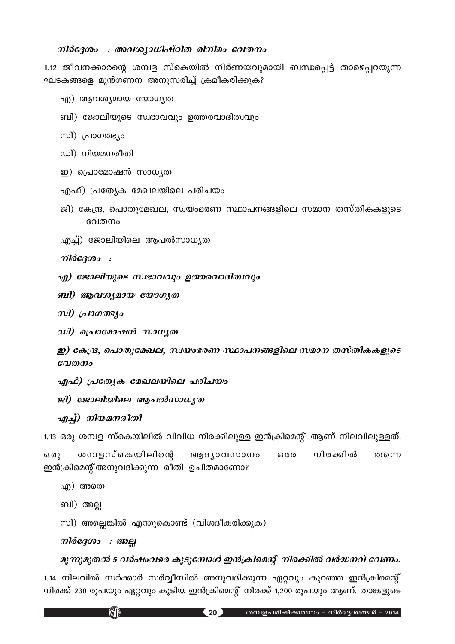## നിർദ്ദേശം : അവശ്യാധിഷ്ഠിത മിനിമം വേതനം

1.12 ജീവനക്കാരന്റെ ശമ്പള സ്കെയിൽ നിർണയവുമായി ബന്ധപ്പെട്ട് താഴെപ്പറയുന്ന ഘടകങ്ങളെ മുൻഗണന അനുസരിച്ച് ക്രമീകരിക്കുക?

- എ) ആവശ്യമായ യോഗൃത
- ബി) ജോലിയുടെ സ്വഭാവവും ഉത്തരവാദിത്വവും
- സി) പ്രാഗത്ഭ്യം
- ഡി) നിയമനരീതി
- ഇ) പ്രൊമോഷൻ സാധ്യത
- എഫ്) പ്രത്യേക മേഖലയിലെ പരിചയം
- ജി) കേന്ദ്ര, പൊതുമേഖല, സ്വയംഭരണ സ്ഥാപനങ്ങളിലെ സമാന തസ്തികകളുടെ വേതനം
- എച്ച്) ജോലിയിലെ ആപൽസാധൃത

നിർദ്ദേശം :

- എ) ജോലിയുടെ സ്വഭാവവും ഉത്തരവാദിത്വവും
- ബി) ആവശ്യമായ യോഗൃത
- സി) പ്രാഗത്ഭ്യം
- ഡി) പ്രൊമോഷൻ സാധൃത

ഇ) കേന്ദ്ര, പൊതുമേഖല, സ്വയംഭരണ സ്ഥാപനങ്ങളിലെ സമാന തസ്തികകളുടെ  $ca<sub>1</sub>$   $\sigma$ 

- എഫ്) പ്രത്യേക മേഖലയിലെ പരിചയം
- ജി) ജോലിയിലെ ആപൽസാധൃത
- എച്ച്) നിയമനരീതി

1.13 ഒരു ശമ്പള സ്കെയിലിൽ വിവിധ നിരക്കിലുള്ള ഇൻക്രിമെന്റ് ആണ് നിലവിലുള്ളത്.

 $6001$ ശമ്പളസ്കെയിലിന്റെ ആദൃാവസാനം  $6G$ നിരക്കിൽ തന്നെ ഇൻക്രിമെന്റ് അനുവദിക്കുന്ന രീതി ഉചിതമാണോ?

- എ) അതെ
- ബി) അല്ല
- സി) അല്ലെങ്കിൽ എന്തുകൊണ്ട് (വിശദീകരിക്കുക)
- നിർദേശം : അല

KID

## മൂന്നുമുതൽ 5 വർഷംവരെ കൂടുമ്പോൾ ഇൻക്രിമെന്റ് നിരക്കിൽ വർദ്ധനവ് വേണം.

1.14 നിലവിൽ സർക്കാർ സർവ്വീസിൽ അനുവദിക്കുന്ന ഏറ്റവും കുറഞ്ഞ ഇൻക്രിമെന്റ് നിരക്ക് 230 രൂപയും ഏറ്റവും കൂടിയ ഇൻക്രിമെന്റ് നിരക്ക് 1,200 രൂപയും ആണ്. താങ്കളുടെ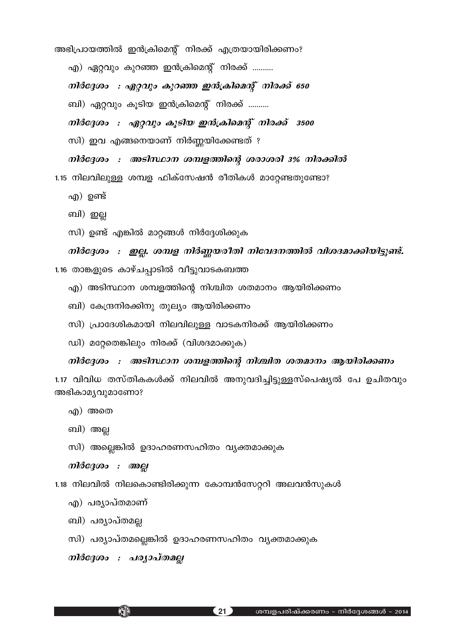എ) ഏറ്റവും കുറഞ്ഞ ഇൻക്രിമെന്റ് നിരക്ക് .......... നിർദ്ദേശം : ഏറ്റവും കുറഞ്ഞ ഇൻക്രിമെന്റ് നിരക്ക് 650 ബി) ഏറ്റവും കൂടിയ ഇൻക്രിമെന്റ് നിരക്ക് .......... നിർദ്ദേശം : ഏറ്റവും കൂടിയ ഇൻക്രിമെന്റ് നിരക്ക് 3500 സി) ഇവ എങ്ങനെയാണ് നിർണ്ണയിക്കേണ്ടത് ? നിർദ്ദേശം : അടിസ്ഥാന ശമ്പളത്തിന്റെ ശരാശരി 3% നിരക്കിൽ 1.15 നിലവിലുള്ള ശമ്പള ഫിക്സേഷൻ രീതികൾ മാറ്റേണ്ടതുണ്ടോ? എ) ഉണ്ട് ബി) ഇല്ല സി) ഉണ്ട് എങ്കിൽ മാറ്റങ്ങൾ നിർദ്ദേശിക്കുക നിർദ്ദേശം : ഇല്ല. ശമ്പള നിർണ്ണയരീതി നിവേദനത്തിൽ വിശദമാക്കിയിട്ടുണ്ട്.

അഭിപ്രായത്തിൽ ഇൻക്രിമെന്റ് നിരക്ക് എത്രയായിരിക്കണം?

1.16 താങ്കളുടെ കാഴ്ചപ്പാടിൽ വീട്ടുവാടകബത്ത

- എ) അടിസ്ഥാന ശമ്പളത്തിന്റെ നിശ്ചിത ശതമാനം ആയിരിക്കണം
- ബി) കേന്ദ്രനിരക്കിനു തുല്യം ആയിരിക്കണം
- സി) പ്രാദേശികമായി നിലവിലുള്ള വാടകനിരക്ക് ആയിരിക്കണം
- ഡി) മറ്റേതെങ്കിലും നിരക്ക് (വിശദമാക്കുക)

നിർദ്ദേശം : അടിസ്ഥാന ശമ്പളത്തിന്റെ നിശ്ചിത ശതമാനം ആയിരിക്കണം

1.17 വിവിധ തസ്തികകൾക്ക് നിലവിൽ അനുവദിച്ചിട്ടുള്ളസ്പെഷ്യൽ പേ ഉചിതവും അഭികാമൃവുമാണോ?

- എ) അതെ
- ബി) അല്ല
- സി) അല്ലെങ്കിൽ ഉദാഹരണസഹിതം വ്യക്തമാക്കുക

നിർദ്ദേശം : അല്ല

1.18 നിലവിൽ നിലകൊണ്ടിരിക്കുന്ന കോമ്പൻസേറ്ററി അലവൻസുകൾ

- എ) പര്യാപ്തമാണ്
- ബി) പര്യാപ്തമല്ല
- സി) പര്യാപ്തമല്ലെങ്കിൽ ഉദാഹരണസഹിതം വ്യക്തമാക്കുക

നിർദേശം : പര്യാപ്തമല്ല

KHP

 $\blacksquare$  21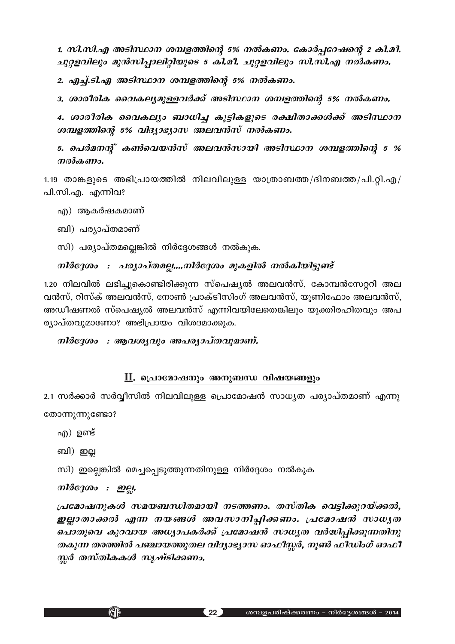1. സി.സി.എ അടിസ്ഥാന ശമ്പളത്തിന്റെ 5% നൽകണം. കോർപ്പറേഷന്റെ 2 കി.മീ. *<i>nൂറ്റളവിലും മുൻസിപ്പാലിറ്റിയുടെ 5 കി.മീ. ചൂറ്റളവിലും സി.സി.എ നൽകണം.* 

2. *എച്ച്.ടി.എ അടിസ്ഥാന ശമ്പളത്തിന്റെ 5% നൽകണം.* 

3. ശാരീരിക വൈകല്യമുള്ളവർക്ക് അടിസ്ഥാന ശമ്പളത്തിന്റെ 5% നൽകണം.

*4. imco-cnI sshIeyw \_m[n® Ip´n-I-fpsS c£n-Xm-°ƒ°v ASn-ÿm\ iomgomlong 5% alesjagyan melandan modesmo.* 

5. പെർമനന്റ് കൺവെയൻസ് അലവൻസായി അടിസ്ഥാന ശമ്പളത്തിന്റെ 5 % *നൽകണം.* 

 $1.19$  താങ്കളുടെ അഭിപ്രായത്തിൽ നിലവിലുള്ള യാത്രാബത്ത/ദിനബത്ത/പി.റ്റി.എ/ പി.സി.എ. എന്നിവ?

എ) ആകർഷകമാണ്

\_ബി) പര്യാപ്തമാണ്

സി) പര്യാപ്തമല്ലെങ്കിൽ നിർദ്ദേശങ്ങൾ നൽകുക.

## $\it m$ *iർദ്ദേശം : പര്യാപ്തമല്ല....നിർദ്ദേശം മുകളിൽ നൽകിയിട്ടുണ്ട്*

1.20 നിലവിൽ ലഭിച്ചുകൊണ്ടിരിക്കുന്ന സ്പെഷ്യൽ അലവൻസ്, കോമ്പൻസേറ്ററി അല വൻസ്, റിസ്ക് അലവൻസ്, നോൺ പ്രാക്ടീസിംഗ് അലവൻസ്, യുണിഫോം അലവൻസ്, അഡീഷണൽ സ്പെഷ്യൽ അലവൻസ് എന്നിവയിലേതെങ്കിലും യുക്തിരഹിതവും അപ ര്യാപ്തവുമാണോ? അഭിപ്രായം വിശദമാക്കുക.

## $\boldsymbol{m}$ *iago : ആവശ്യവും അപര്യാപ്തവുമാണ്.*

## <u>II</u>. പ്രൊമോഷനും അനുബന്ധ വിഷയങ്ങളും

2.1 സർക്കാർ സർവ്വീസിൽ നിലവിലുള്ള പ്രൊമോഷൻ സാധൃത പര്യാപ്തമാണ് എന്നു തോന്നുന്നുണ്ടോ?

- എ) ഉണ്ട്
- ബി) ഇല്ല
- സി) ഇല്ലെങ്കിൽ മെച്ചപ്പെടുത്തുന്നതിനുള്ള നിർദ്ദേശം നൽകുക

## *mìർദ്ദേശം : ഇല്ല.*

KJD

*{]tam-j-\p-Iƒ ka-b-\_-'n-X-ambn \S-Ø-Ww. XkvXnI sh´n-°p-d-bv°¬, ഇല്ലാതാക്കൽ എന്ന നയങ്ങൾ അവസാനിപ്പിക്കണം. പ്രമോഷൻ സാധൃത* ചൊതുവെ കുറവായ അധ്യാപകർക്ക് <sub>(</sub>പമോഷൻ സാധ്യത വർദ്ധിപ്പിക്കുന്നതിനു `*തകുന്ന തരത്തിൽ പഞ്ചായത്തുതല വിദ്യാഭ്യാസ ഓഫീസ്സർ, നൂൺ ഫീഡിംഗ് ഓഫീ സ്ലർ തസ്തികകൾ സൃഷ്ടിക്കണം.*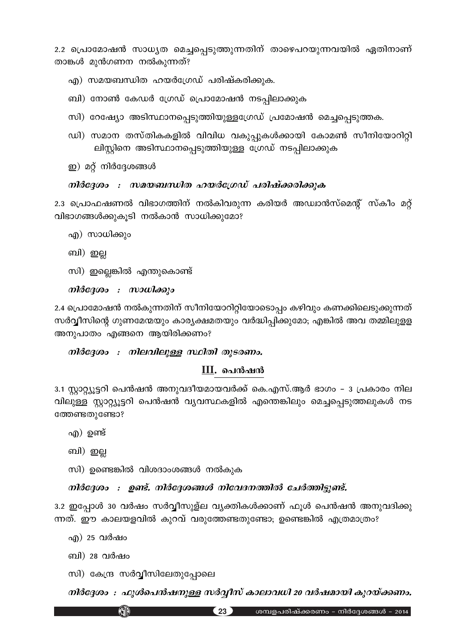2.2 പ്രൊമോഷൻ സാധ്യത മെച്ചപ്പെടുത്തുന്നതിന് താഴെപറയുന്നവയിൽ ഏതിനാണ് താങ്കൾ മുൻഗണന നൽകുന്നത്?

- എ) സമയബന്ധിത ഹയർഗ്രേഡ് പരിഷ്കരിക്കുക.
- ബി) നോൺ കേഡർ ഗ്രേഡ് പ്രൊമോഷൻ നടപ്പിലാക്കുക
- സി) റേഷ്യോ അടിസ്ഥാനപ്പെടുത്തിയുള്ളഗ്രേഡ് പ്രമോഷൻ മെച്ചപ്പെടുത്തക.
- ഡി) സമാന തസ്തികകളിൽ വിവിധ വകുപ്പുകൾക്കായി കോമൺ സീനിയോറിറ്റി ലിസ്റ്റിനെ അടിസ്ഥാനപ്പെടുത്തിയുള്ള ഗ്രേഡ് നടപ്പിലാക്കുക
- ഇ) മറ്റ് നിർദ്ദേശങ്ങൾ

## നിർദ്ദേശം : സമയബന്ധിത ഹയർഗ്രേഡ് പരിഷ്ക്കരിക്കുക

2.3 പ്രൊഫഷണൽ വിഭാഗത്തിന് നൽകിവരുന്ന കരിയർ അഡ്വാൻസ്മെന്റ് സ്കീം മറ്റ് വിഭാഗങ്ങൾക്കുകൂടി നൽകാൻ സാധിക്കുമോ?

- എ) സാധിക്കും
- ബി) ഇല്ല
- സി) ഇല്ലെങ്കിൽ എന്തുകൊണ്ട്

 $m$ ിർദ്ദേശം : സാധിക്കും

2.4 പ്രൊമോഷൻ നൽകുന്നതിന് സീനിയോറിറ്റിയോടൊപ്പം കഴിവും കണക്കിലെടുക്കുന്നത് സർവ്വീസിന്റെ ഗുണമേന്മയും കാര്യക്ഷമതയും വർദ്ധിപ്പിക്കുമോ; എങ്കിൽ അവ തമ്മിലുളള അനുപാതം എങ്ങനെ ആയിരിക്കണം?

## നിർദ്ദേശം : നിലവിലുള്ള സ്ഥിതി തുടരണം.

## $III.$  പെൻഷൻ

3.1 സ്റ്റാറ്റ്യൂട്ടറി പെൻഷൻ അനുവദീയമായവർക്ക് കെ.എസ്.ആർ ഭാഗം – 3 പ്രകാരം നില വിലുള്ള സ്റ്റാറ്റ്യൂട്ടറി പെൻഷൻ വ്യവസ്ഥകളിൽ എന്തെങ്കിലും മെച്ചപ്പെടുത്തലുകൾ നട ത്തേണ്ടതുണ്ടോ?

- എ) ഉണ്ട്
- ബി) ഇല്ല
- സി) ഉണ്ടെങ്കിൽ വിശദാംശങ്ങൾ നൽകുക

## നിർദ്ദേശം : ഉണ്ട്. നിർദ്ദേശങ്ങൾ നിവേദനത്തിൽ ചേർത്തിട്ടുണ്ട്.

3.2 ഇപ്പോൾ 30 വർഷം സർവ്വീസുള്ല വ്യക്തികൾക്കാണ് ഫൂൾ പെൻഷൻ അനുവദിക്കു ന്നത്. ഈ കാലയളവിൽ കുറവ് വരുത്തേണ്ടതുണ്ടോ; ഉണ്ടെങ്കിൽ എത്രമാത്രം?

- എ) 25 വർഷം
- ബി) 28 വർഷം
- സി) കേന്ദ്ര സർവ്വീസിലേതുപ്പോലെ

KID

നിർദ്ദേശം : ഫുൾപെൻഷനുള്ള സർവ്വീസ് കാലാവധി 20 വർഷമായി കുറയ്ക്കണം.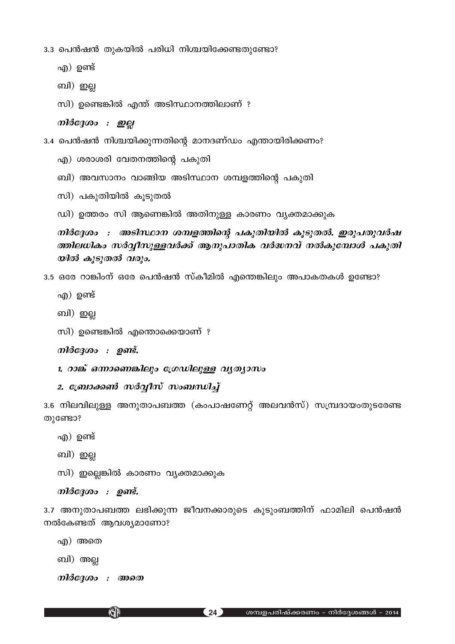3.3 പെൻഷൻ തുകയിൽ പരിധി നിശ്ചയിക്കേണ്ടതുണ്ടോ?

- എ) ഉണ്ട്
- ബി) ഇല്ല
- സി) ഉണ്ടെങ്കിൽ എന്ത് അടിസ്ഥാനത്തിലാണ് ?

## നിർദ്ദേശം : ഇല്ല

3.4 പെൻഷൻ നിശ്ചയിക്കുന്നതിന്റെ മാനദണ്ഡം എന്തായിരിക്കണം?

- എ) ശരാശരി വേതനത്തിന്റെ പകുതി
- ബി) അവസാനം വാങ്ങിയ അടിസ്ഥാന ശമ്പളത്തിന്റെ പകുതി
- സി) പകുതിയിൽ കൂടുതൽ
- ഡി) ഉത്തരം സി ആണെങ്കിൽ അതിനുള്ള കാരണം വ്യക്തമാക്കുക

നിർദ്ദേശം : അടിസ്ഥാന ശമ്പളത്തിന്റെ പകുതിയിൽ കൂടുതൽ. ഇരുപതുവർഷ ത്തിലധികം സർവ്വീസുള്ളവർക്ക് ആനുപാതിക വർദ്ധനവ് നൽകുമ്പോൾ പകുതി യിൽ കൂടുതൽ വരും.

3.5 ഒരേ റാങ്കിംന് ഒരേ പെൻഷൻ സ്കീമിൽ എന്തെങ്കിലും അപാകതകൾ ഉണ്ടോ?

- എ) ഉണ്ട്
- ബി) ഇല്ല

```
സി) ഉണ്ടെങ്കിൽ എന്തൊക്കെയാണ് ?
```
നിർദ്ദേശം : ഉണ്ട്.

1. റാങ്ക് ഒന്നാണെങ്കിലും ശ്രേഡിലുള്ള വൃത്യാസം

## 2. ബ്രോക്കൺ സർവ്വീസ് സംബന്ധിച്ച്

3.6 നിലവിലുള്ള അനുതാപബത്ത (കംപാഷണേറ്റ് അലവൻസ്) സമ്പ്രദായംതുടരേണ്ട തുണ്ടോ?

- എ) ഉണ്ട്
- ബി) ഇല്ല
- സി) ഇല്ലെങ്കിൽ കാരണം വ്യക്തമാക്കുക

```
നിർദേശം : ഉണ്ട്.
```
3.7 അനുതാപബത്ത ലഭിക്കുന്ന ജീവനക്കാരുടെ കുടുംബത്തിന് ഫാമിലി പെൻഷൻ നൽകേണ്ടത് ആവശ്യമാണോ?

എ) അതെ

ബി) അല്ല

നിർദ്ദേശം : അതെ

**KJP**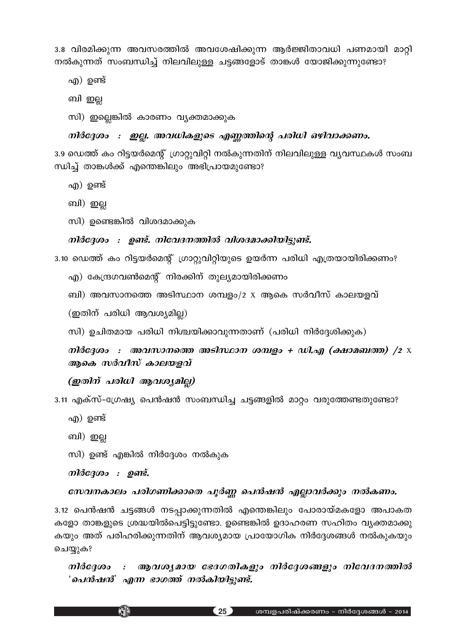3.8 വിരമിക്കുന്ന അവസരത്തിൽ അവശേഷിക്കുന്ന ആർജ്ജിതാവധി പണമായി മാറ്റി  $\,$ നൽകുന്നത് സംബന്ധിച്ച് നിലവിലുള്ള ചട്ടങ്ങളോട് താങ്കൾ യോജിക്കുന്നുണ്ടോ?

എ) ഉണ്ട്

ബി ഇല്ല

സി) ഇല്ലെങ്കിൽ കാരണം വൃക്തമാക്കുക

## *mിർദ്ദേശം : ഇല്ല. അവധികളുടെ എണ്ണത്തിന്റെ പരിധി ഒഴിവാക്കണം.*

3.9 ഡെത്ത് കം റിട്ടയർമെന്റ് ഗ്രാറ്റുവിറ്റി നൽകുന്നതിന് നിലവിലുള്ള വൃവസ്ഥകൾ സംബ 'സിച്ച് താങ്കൾക്ക് എന്തെങ്കിലും അഭിപ്രായമുണ്ടോ?

- എ $)$  ഉണ്ട്
- ബി) ഇല്ല
- സി) ഉണ്ടെങ്കിൽ വിശദമാക്കുക

## $\it m$ ിർദ്ദേശം : ഉണ്ട്. നിവേദനത്തിൽ വിശദമാക്കിയിട്ടുണ്ട്.

3.10 ഡെത്ത് കം റിട്ടയർമെന്റ് ഗ്രാറ്റുവിറ്റിയുടെ ഉയർന്ന പരിധി എത്രയായിരിക്കണം?

- എ) കേന്ദ്രഗവൺമെന്റ് നിരക്കിന് തുല്യമായിരിക്കണം
- ബി) അവസാനത്തെ അടിസ്ഥാന ശമ്പളം/2 x ആകെ സർവീസ് കാലയളവ്

 $(g$ തിന് പരിധി ആവശ്യമില്ല)

സി) ഉചിതമായ പരിധി നിശ്ചയിക്കാവുന്നതാണ് (പരിധി നിർദ്ദേശിക്കുക)

*mിർദ്ദേശം : അവസാനത്തെ അടിസ്ഥാന ശമ്പളം + ഡി.എ (ക്ഷാമബത്ത) /2*  $\times$ ആകെ *സർവീസ് കാലയളവ്* 

## *(ഇതിന് പരിധി ആവശ്യമില്ല)*

3.11 എക്സ്–ഗ്രേഷ്യ പെൻഷൻ സംബന്ധിച്ച ചട്ടങ്ങളിൽ മാറ്റം വരുത്തേണ്ടതുണ്ടോ?

- എ $)$  ഉണ്ട്
- ബി) ഇല്ല
- സി) ഉണ്ട് എങ്കിൽ നിർദ്ദേശം നൽകുക

 $\it m$ *lർദ്ദേശം : ഉണ്ട്.* 

**KATA** 

## *tkh-\-Imew ]cn-K-Wn-°msX ]q¿Æ s]≥j≥ F√m-h¿°pw \¬I-Ww.*

3.12 പെൻഷൻ ചട്ടങ്ങൾ നടപ്പാക്കുന്നതിൽ എന്തെങ്കിലും പോരായ്മകളോ അപാകത കളോ താങ്കളുടെ ശ്രദ്ധയിൽപെട്ടിട്ടുണ്ടോ. ഉണ്ടെങ്കിൽ ഉദാഹരണ സഹിതം വ്യക്തമാക്കു കയും അത് പരിഹരിക്കുന്നതിന് ആവശ്യമായ പ്രായോഗിക നിർദ്ദേശങ്ങൾ നൽകുകയും ചെയ്യുക?

 $\bm{n}$ 1ർദ്ദേശം : ആവശ്യമായ ഭേദഗതികളും നിർദ്ദേശങ്ങളും നിവേദനത്തിൽ *'* ചെൻഷൻ' എന്ന ഭാഗത്ത് നൽകിയിട്ടുണ്ട്.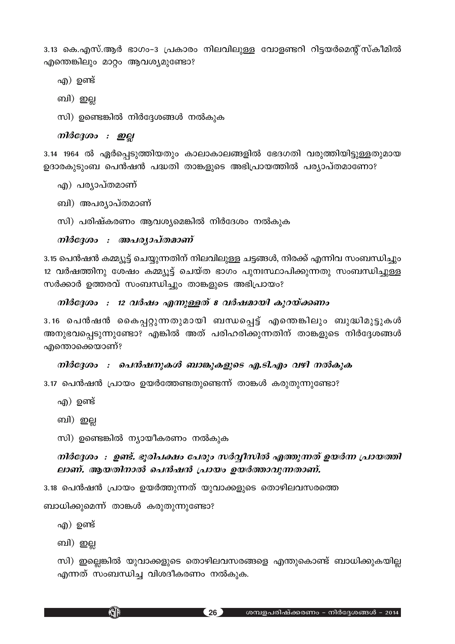3.13 കെ.എസ്.ആർ ഭാഗം-3 പ്രകാരം നിലവിലുള്ള വോളണ്ടറി റിട്ടയർമെന്റ്സ്കീമിൽ എന്തെങ്കിലും മാറ്റം ആവശ്യമുണ്ടോ?

എ) ഉണ്ട്

ബി) ഇല്ല

സി) ഉണ്ടെങ്കിൽ നിർദ്ദേശങ്ങൾ നൽകുക

*നിർദ്ദേശം : ഇല്ല* 

3.14 1964 ൽ ഏർപ്പെടുത്തിയതും കാലാകാലങ്ങളിൽ ഭേദഗതി വരുത്തിയിട്ടുള്ളതുമായ ഉദാരകുടുംബ പെൻഷൻ പദ്ധതി താങ്കളുടെ അഭിപ്രായത്തിൽ പര്യാപ്തമാണോ?

എ) പര്യാപ്തമാണ്

ബി) അപര്യാപ്തമാണ്

സി) പരിഷ്കരണം ആവശ്യമെങ്കിൽ നിർദേശം നൽകുക

*\n¿t±iw : A]-cym-]vX-amWv*

3.15 പെൻഷൻ കമ്മ്യൂട്ട് ചെയ്യുന്നതിന് നിലവിലുള്ള ചട്ടങ്ങൾ, നിരക്ക് എന്നിവ സംബന്ധിച്ചും 12 വർഷത്തിനു ശേഷം കമ്മ്യൂട്ട് ചെയ്ത ഭാഗം പുനഃസ്ഥാപിക്കുന്നതു സംബന്ധിച്ചുള്ള സർക്കാർ ഉത്തരവ് സംബന്ധിച്ചും താങ്കളുടെ അഭിപ്രായം?

*mിർദേശം : 12 വർഷം എന്നുള്ളത് 8 വർഷമായി കുറയ്ക്കണം* 

3.16 പെൻഷൻ കൈപ്പറ്റുന്നതുമായി ബന്ധപ്പെട്ട് എന്തെങ്കിലും ബുദ്ധിമുട്ടുകൾ `അനുഭവപ്പെടുന്നുണ്ടോ? എങ്കിൽ അത് പരിഹരിക്കുന്നതിന് താങ്കളുടെ നിർദ്ദേശങ്ങൾ എന്തൊക്കെയാണ്?

## *\n}ർദ്ദേശം : പെൻഷനുകൾ ബാങ്കുകളുടെ എ.ടി.എം വഴി നൽകുക*

3.17 പെൻഷൻ പ്രായം ഉയർത്തേണ്ടതുണ്ടെന്ന് താങ്കൾ കരുതുന്നുണ്ടോ?

എ) ഉണ്ട്

ബി) ഇല്ല

സി) ഉണ്ടെങ്കിൽ ന്യായീകരണം നൽകുക

## *mിർദേശം : ഉണ്ട്. ഭൂരിപക്ഷം പേരും സർവ്വീസിൽ എത്തുന്നത് ഉയർന്ന പ്രായത്തി enan്. ആയതിനാൽ പെൻഷൻ പ്രായം ഉയർത്താവുന്നതാണ്.*

3.18 പെൻഷൻ പ്രായം ഉയർത്തുന്നത് യുവാക്കളുടെ തൊഴിലവസരത്തെ

ബാധിക്കുമെന്ന് താങ്കൾ കരുതുന്നുണ്ടോ?

KJD

എ $)$  ഉണ്ട്

ബി) ഇല്ല

സി) ഇല്ലെങ്കിൽ യുവാക്കളുടെ തൊഴിലവസരങ്ങളെ എന്തുകൊണ്ട് ബാധിക്കുകയില്ല എന്നത് സംബന്ധിച്ച വിശദീകരണം നൽകുക.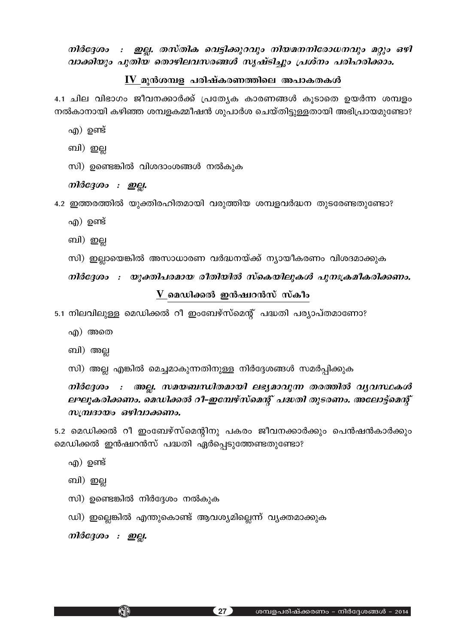നിർദ്ദേശം : ഇല്ല. തസ്തിക വെട്ടിക്കുറവും നിയമനനിരോധനവും മറ്റും ഒഴി വാക്കിയും പുതിയ തൊഴിലവസരങ്ങൾ സൃഷ്ടിച്ചും പ്രശ്നം പരിഹരിക്കാം.

## $\underline{\mathbf{IV}}$  മുൻശമ്പള പരിഷ്കരണത്തിലെ അപാകതകൾ

4.1 ചില വിഭാഗം ജീവനക്കാർക്ക് പ്രത്യേക കാരണങ്ങൾ കൂടാതെ ഉയർന്ന ശമ്പളം നൽകാനായി കഴിഞ്ഞ ശമ്പളകമ്മീഷൻ ശുപാർശ ചെയ്തിട്ടുള്ളതായി അഭിപ്രായമുണ്ടോ?

- എ) ഉണ്ട്
- ബി) ഇല്ല
- സി) ഉണ്ടെങ്കിൽ വിശദാംശങ്ങൾ നൽകുക
- നിർദ്ദേശം : ഇല്ല.
- 4.2 ഇത്തരത്തിൽ യുക്തിരഹിതമായി വരുത്തിയ ശമ്പളവർദ്ധന തുടരേണ്ടതുണ്ടോ?
	- എ) ഉണ്ട്
	- ബി) ഇല്ല
	- സി) ഇല്ലായെങ്കിൽ അസാധാരണ വർദ്ധനയ്ക്ക് ന്യായീകരണം വിശദമാക്കുക

നിർദ്ദേശം : യുക്തിപരമായ രീതിയിൽ സ്കെയിലുകൾ പുനഃക്രമീകരിക്കണം.

```
\bf{V}മെഡിക്കൽ ഇൻഷ്വറൻസ് സ്കീം
```
5.1 നിലവിലുള്ള മെഡിക്കൽ റീ ഇംബേഴ്സ്മെന്റ് പദ്ധതി പര്യാപ്തമാണോ?

- എ) അതെ
- ബി) അല്ല
- സി) അല്ല എങ്കിൽ മെച്ചമാകുന്നതിനുള്ള നിർദ്ദേശങ്ങൾ സമർപ്പിക്കുക

#### : അല്ല. സമയബന്ധിതമായി ലഭ്യമാവുന്ന തരത്തിൽ വ്യവസ്ഥകൾ നിർദേശം ലഘൂകരിക്കണം. മെഡിക്കൽ റീ–ഇമ്പേഴ്സ്മെന്റ് പദ്ധതി തുടരണം. അലോട്ട്മെന്റ് സമ്പ്രദായം ഒഴിവാക്കണം.

5.2 മെഡിക്കൽ റീ ഇംബേഴ്സ്മെന്റിനു പകരം ജീവനക്കാർക്കും പെൻഷൻകാർക്കും മെഡിക്കൽ ഇൻഷ്വറൻസ് പദ്ധതി ഏർപ്പെടുത്തേണ്ടതുണ്ടോ?

- എ) ഉണ്ട്
- ബി) ഇല്ല
- സി) ഉണ്ടെങ്കിൽ നിർദ്ദേശം നൽകുക
- ഡി) ഇല്ലെങ്കിൽ എന്തുകൊണ്ട് ആവശ്യമില്ലെന്ന് വ്യക്തമാക്കുക

നിർദ്ദേശം : ഇല്ല.

KHP

 $(27)$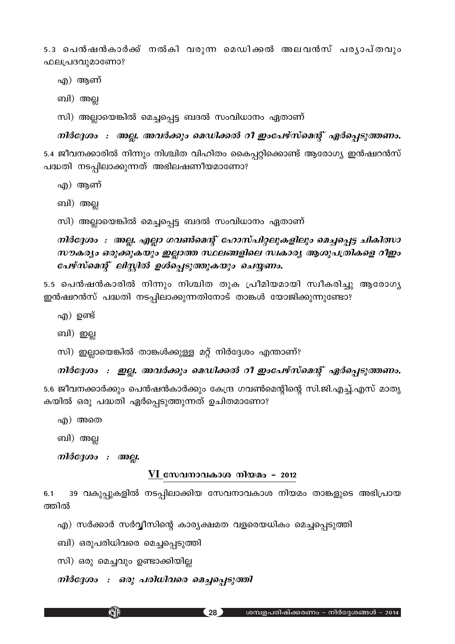5.3 പെൻഷൻകാർക്ക് നൽകി വരുന്ന മെഡിക്കൽ അലവൻസ് പരൃാപ്തവും ഫലപ്രദവുമാണോ?

എ) ആണ്

ബി) അല്ല

സി) അല്ലായെങ്കിൽ മെച്ചപ്പെട്ട ബദൽ സംവിധാനം ഏതാണ്

*mിർദ്ദേശം : അല്ല. അവർക്കും മെഡിക്കൽ റീ ഇംപേഴ്സ്മെന്റ് ഏർപ്പെടുത്തണം.* 5.4 ജീവനക്കാരിൽ നിന്നും നിശ്ചിത വിഹിതം കൈപ്പറ്റിക്കൊണ്ട് ആരോഗ്യ ഇൻഷ്വറൻസ് പദ്ധതി നടപ്പിലാക്കുന്നത് അഭിലഷണീയമാണോ?

എ) ആണ്

ബി) അല്ല

സി) അല്ലായെങ്കിൽ മെച്ചപ്പെട്ട ബദൽ സംവിധാനം ഏതാണ്

 $\it$ *nിർദ്ദേശം*  $\it :$  *അല്ല. എല്ലാ ഗവൺമെന്റ് ഹോസ്പിറ്റലുകളിലും മെച്ചപ്പെട്ട ചികിത്സാ സൗകര്യം ഒരുക്കുകയും ഇല്ലാത്ത സ്ഥലങ്ങളിലെ സ്വകാര്യ ആശുപത്രികളെ റീഇം പേഴ്സ്മെന്റ് ലിസ്റ്റിൽ ഉൾപ്പെടുത്തുകയും ചെയ്യണം.* 

5.5 പെൻഷൻകാരിൽ നിന്നും നിശ്ചിത തുക പ്രീമിയമായി സ്വീകരിച്ചു ആരോഗ്യ ഇൻഷ്വറൻസ് പദ്ധതി നടപ്പിലാക്കുന്നതിനോട് താങ്കൾ യോജിക്കുന്നുണ്ടോ?

- എ $)$  ഉണ്ട്
- ബി) ഇല്ല

സി) ഇല്ലായെങ്കിൽ താങ്കൾക്കുള്ള മറ്റ് നിർദ്ദേശം എന്താണ്?

*mിർദ്ദേശം : ഇല്ല. അവർക്കും മെഡിക്കൽ റീ ഇംപേഴ്സ്മെന്റ് ഏർപ്പെടുത്തണം.* 

5.6 ജീവനക്കാർക്കും പെൻഷൻകാർക്കും കേന്ദ്ര ഗവൺമെന്റിന്റെ സി.ജി.എച്ച്.എസ് മാതൃ കയിൽ ഒരു പദ്ധതി ഏർപ്പെടുത്തുന്നത് ഉചിതമാണോ?

എ) അതെ

ബി) അല്ല

*m}&c3000 : @@Q.* 

#### <u>VI സേവനാവകാശ നിയമം - 2012</u>

6.1 39 വകുപ്പുകളിൽ നടപ്പിലാക്കിയ സേവനാവകാശ നിയമം താങ്കളുടെ അഭിപ്രായ ത്തിൽ

എ) സർക്കാർ സർവ്വീസിന്റെ കാര്യക്ഷമത വളരെയധികം മെച്ചപ്പെടുത്തി

ബി) ഒരുപരിധിവരെ മെച്ചപ്പെടുത്തി

സി) ഒരു മെച്ചവും ഉണ്ടാക്കിയില്ല

KJD

*\n}ർദ്ദേശം : ഒരു പരിധിവരെ മെച്ചപ്പെടുത്തി*